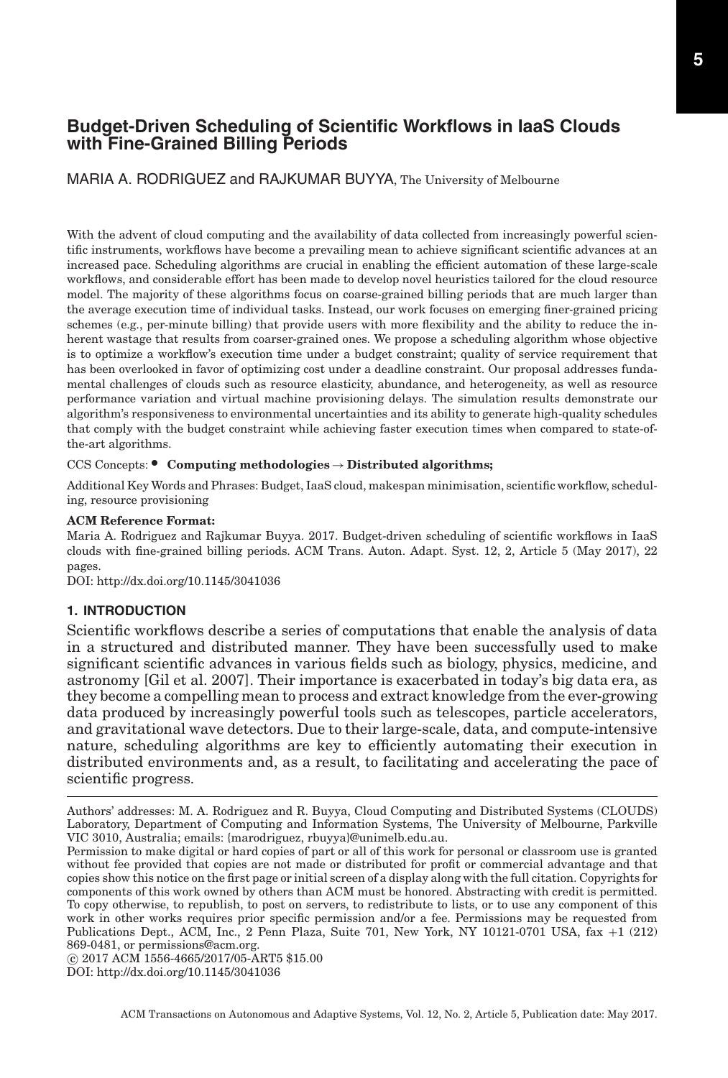# **Budget-Driven Scheduling of Scientific Workflows in IaaS Clouds with Fine-Grained Billing Periods**

MARIA A. RODRIGUEZ and RAJKUMAR BUYYA, The University of Melbourne

With the advent of cloud computing and the availability of data collected from increasingly powerful scientific instruments, workflows have become a prevailing mean to achieve significant scientific advances at an increased pace. Scheduling algorithms are crucial in enabling the efficient automation of these large-scale workflows, and considerable effort has been made to develop novel heuristics tailored for the cloud resource model. The majority of these algorithms focus on coarse-grained billing periods that are much larger than the average execution time of individual tasks. Instead, our work focuses on emerging finer-grained pricing schemes (e.g., per-minute billing) that provide users with more flexibility and the ability to reduce the inherent wastage that results from coarser-grained ones. We propose a scheduling algorithm whose objective is to optimize a workflow's execution time under a budget constraint; quality of service requirement that has been overlooked in favor of optimizing cost under a deadline constraint. Our proposal addresses fundamental challenges of clouds such as resource elasticity, abundance, and heterogeneity, as well as resource performance variation and virtual machine provisioning delays. The simulation results demonstrate our algorithm's responsiveness to environmental uncertainties and its ability to generate high-quality schedules that comply with the budget constraint while achieving faster execution times when compared to state-ofthe-art algorithms.

# CCS Concepts: - **Computing methodologies**→**Distributed algorithms;**

Additional Key Words and Phrases: Budget, IaaS cloud, makespan minimisation, scientific workflow, scheduling, resource provisioning

#### **ACM Reference Format:**

Maria A. Rodriguez and Rajkumar Buyya. 2017. Budget-driven scheduling of scientific workflows in IaaS clouds with fine-grained billing periods. ACM Trans. Auton. Adapt. Syst. 12, 2, Article 5 (May 2017), 22 pages.

DOI:<http://dx.doi.org/10.1145/3041036>

### **1. INTRODUCTION**

Scientific workflows describe a series of computations that enable the analysis of data in a structured and distributed manner. They have been successfully used to make significant scientific advances in various fields such as biology, physics, medicine, and astronomy [Gil et al. [2007\]](#page-20-0). Their importance is exacerbated in today's big data era, as they become a compelling mean to process and extract knowledge from the ever-growing data produced by increasingly powerful tools such as telescopes, particle accelerators, and gravitational wave detectors. Due to their large-scale, data, and compute-intensive nature, scheduling algorithms are key to efficiently automating their execution in distributed environments and, as a result, to facilitating and accelerating the pace of scientific progress.

-c 2017 ACM 1556-4665/2017/05-ART5 \$15.00

DOI:<http://dx.doi.org/10.1145/3041036>

Authors' addresses: M. A. Rodriguez and R. Buyya, Cloud Computing and Distributed Systems (CLOUDS) Laboratory, Department of Computing and Information Systems, The University of Melbourne, Parkville VIC 3010, Australia; emails: {marodriguez, rbuyya}@unimelb.edu.au.

Permission to make digital or hard copies of part or all of this work for personal or classroom use is granted without fee provided that copies are not made or distributed for profit or commercial advantage and that copies show this notice on the first page or initial screen of a display along with the full citation. Copyrights for components of this work owned by others than ACM must be honored. Abstracting with credit is permitted. To copy otherwise, to republish, to post on servers, to redistribute to lists, or to use any component of this work in other works requires prior specific permission and/or a fee. Permissions may be requested from Publications Dept., ACM, Inc., 2 Penn Plaza, Suite 701, New York, NY 10121-0701 USA, fax +1 (212) 869-0481, or permissions@acm.org.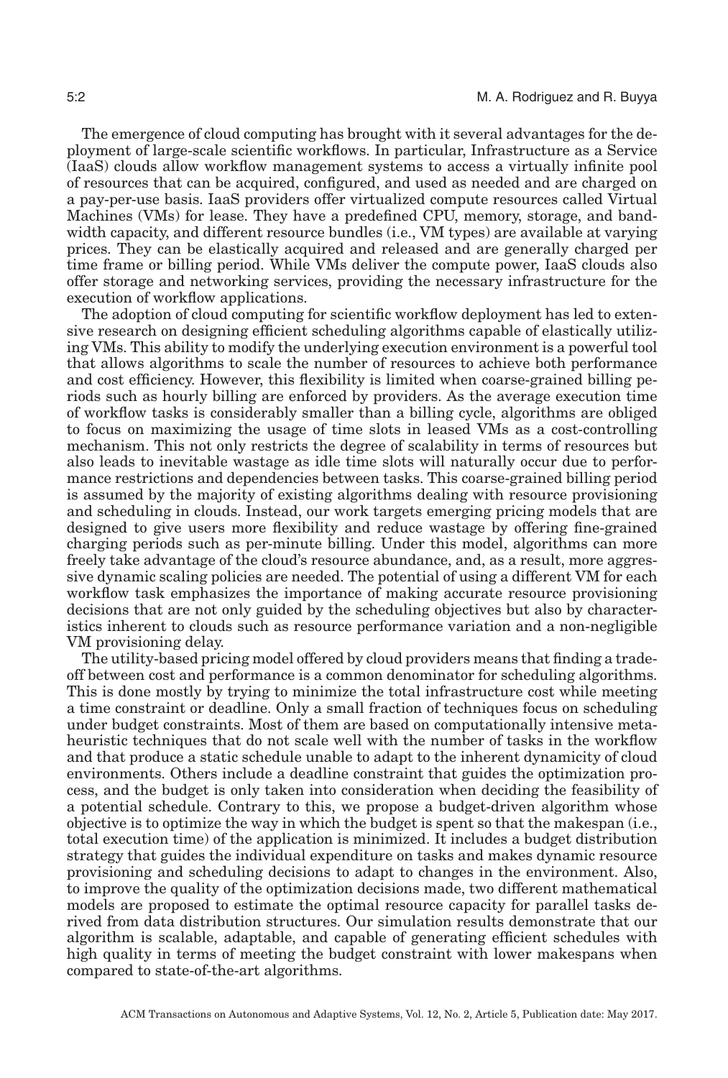The emergence of cloud computing has brought with it several advantages for the deployment of large-scale scientific workflows. In particular, Infrastructure as a Service (IaaS) clouds allow workflow management systems to access a virtually infinite pool of resources that can be acquired, configured, and used as needed and are charged on a pay-per-use basis. IaaS providers offer virtualized compute resources called Virtual Machines (VMs) for lease. They have a predefined CPU, memory, storage, and bandwidth capacity, and different resource bundles (i.e., VM types) are available at varying prices. They can be elastically acquired and released and are generally charged per time frame or billing period. While VMs deliver the compute power, IaaS clouds also offer storage and networking services, providing the necessary infrastructure for the execution of workflow applications.

The adoption of cloud computing for scientific workflow deployment has led to extensive research on designing efficient scheduling algorithms capable of elastically utilizing VMs. This ability to modify the underlying execution environment is a powerful tool that allows algorithms to scale the number of resources to achieve both performance and cost efficiency. However, this flexibility is limited when coarse-grained billing periods such as hourly billing are enforced by providers. As the average execution time of workflow tasks is considerably smaller than a billing cycle, algorithms are obliged to focus on maximizing the usage of time slots in leased VMs as a cost-controlling mechanism. This not only restricts the degree of scalability in terms of resources but also leads to inevitable wastage as idle time slots will naturally occur due to performance restrictions and dependencies between tasks. This coarse-grained billing period is assumed by the majority of existing algorithms dealing with resource provisioning and scheduling in clouds. Instead, our work targets emerging pricing models that are designed to give users more flexibility and reduce wastage by offering fine-grained charging periods such as per-minute billing. Under this model, algorithms can more freely take advantage of the cloud's resource abundance, and, as a result, more aggressive dynamic scaling policies are needed. The potential of using a different VM for each workflow task emphasizes the importance of making accurate resource provisioning decisions that are not only guided by the scheduling objectives but also by characteristics inherent to clouds such as resource performance variation and a non-negligible VM provisioning delay.

The utility-based pricing model offered by cloud providers means that finding a tradeoff between cost and performance is a common denominator for scheduling algorithms. This is done mostly by trying to minimize the total infrastructure cost while meeting a time constraint or deadline. Only a small fraction of techniques focus on scheduling under budget constraints. Most of them are based on computationally intensive metaheuristic techniques that do not scale well with the number of tasks in the workflow and that produce a static schedule unable to adapt to the inherent dynamicity of cloud environments. Others include a deadline constraint that guides the optimization process, and the budget is only taken into consideration when deciding the feasibility of a potential schedule. Contrary to this, we propose a budget-driven algorithm whose objective is to optimize the way in which the budget is spent so that the makespan (i.e., total execution time) of the application is minimized. It includes a budget distribution strategy that guides the individual expenditure on tasks and makes dynamic resource provisioning and scheduling decisions to adapt to changes in the environment. Also, to improve the quality of the optimization decisions made, two different mathematical models are proposed to estimate the optimal resource capacity for parallel tasks derived from data distribution structures. Our simulation results demonstrate that our algorithm is scalable, adaptable, and capable of generating efficient schedules with high quality in terms of meeting the budget constraint with lower makespans when compared to state-of-the-art algorithms.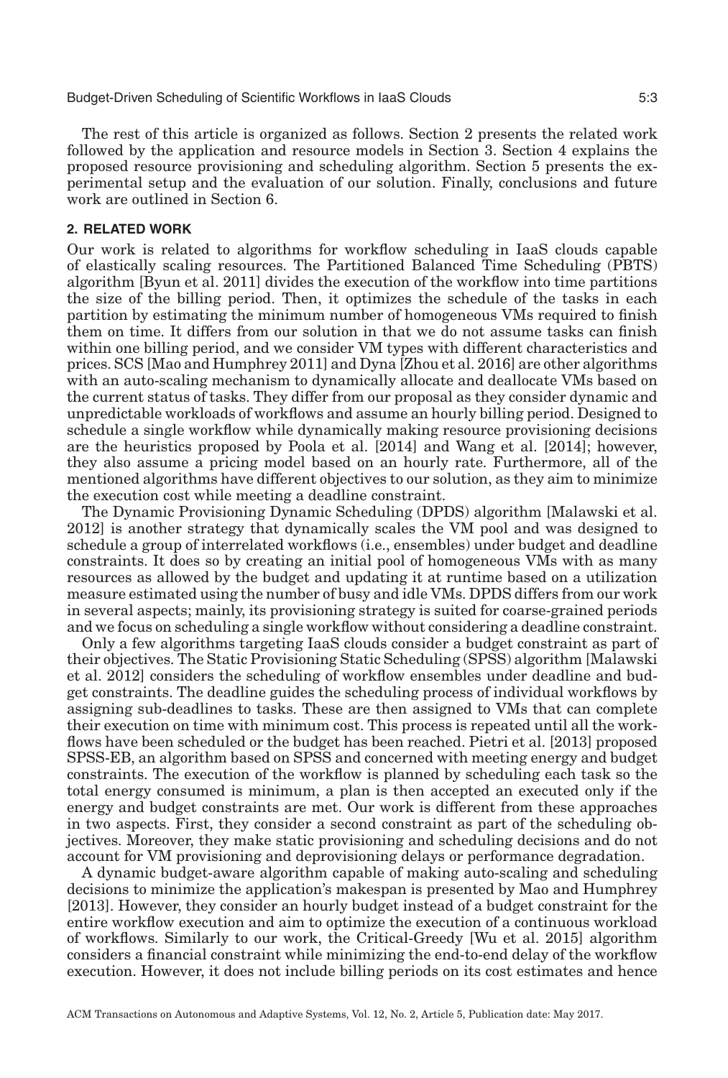The rest of this article is organized as follows. Section [2](#page-2-0) presents the related work followed by the application and resource models in Section [3.](#page-3-0) Section [4](#page-5-0) explains the proposed resource provisioning and scheduling algorithm. Section [5](#page-13-0) presents the experimental setup and the evaluation of our solution. Finally, conclusions and future work are outlined in Section [6.](#page-19-0)

# **2. RELATED WORK**

<span id="page-2-0"></span>Our work is related to algorithms for workflow scheduling in IaaS clouds capable of elastically scaling resources. The Partitioned Balanced Time Scheduling (PBTS) algorithm [Byun et al. [2011\]](#page-20-1) divides the execution of the workflow into time partitions the size of the billing period. Then, it optimizes the schedule of the tasks in each partition by estimating the minimum number of homogeneous VMs required to finish them on time. It differs from our solution in that we do not assume tasks can finish within one billing period, and we consider VM types with different characteristics and prices. SCS [Mao and Humphrey [2011\]](#page-20-2) and Dyna [Zhou et al. [2016\]](#page-21-0) are other algorithms with an auto-scaling mechanism to dynamically allocate and deallocate VMs based on the current status of tasks. They differ from our proposal as they consider dynamic and unpredictable workloads of workflows and assume an hourly billing period. Designed to schedule a single workflow while dynamically making resource provisioning decisions are the heuristics proposed by Poola et al. [\[2014\]](#page-20-3) and Wang et al. [\[2014\]](#page-21-1); however, they also assume a pricing model based on an hourly rate. Furthermore, all of the mentioned algorithms have different objectives to our solution, as they aim to minimize the execution cost while meeting a deadline constraint.

The Dynamic Provisioning Dynamic Scheduling (DPDS) algorithm [Malawski et al. [2012\]](#page-20-4) is another strategy that dynamically scales the VM pool and was designed to schedule a group of interrelated workflows (i.e., ensembles) under budget and deadline constraints. It does so by creating an initial pool of homogeneous VMs with as many resources as allowed by the budget and updating it at runtime based on a utilization measure estimated using the number of busy and idle VMs. DPDS differs from our work in several aspects; mainly, its provisioning strategy is suited for coarse-grained periods and we focus on scheduling a single workflow without considering a deadline constraint.

Only a few algorithms targeting IaaS clouds consider a budget constraint as part of their objectives. The Static Provisioning Static Scheduling (SPSS) algorithm [Malawski et al. [2012\]](#page-20-4) considers the scheduling of workflow ensembles under deadline and budget constraints. The deadline guides the scheduling process of individual workflows by assigning sub-deadlines to tasks. These are then assigned to VMs that can complete their execution on time with minimum cost. This process is repeated until all the workflows have been scheduled or the budget has been reached. Pietri et al. [\[2013\]](#page-20-5) proposed SPSS-EB, an algorithm based on SPSS and concerned with meeting energy and budget constraints. The execution of the workflow is planned by scheduling each task so the total energy consumed is minimum, a plan is then accepted an executed only if the energy and budget constraints are met. Our work is different from these approaches in two aspects. First, they consider a second constraint as part of the scheduling objectives. Moreover, they make static provisioning and scheduling decisions and do not account for VM provisioning and deprovisioning delays or performance degradation.

A dynamic budget-aware algorithm capable of making auto-scaling and scheduling decisions to minimize the application's makespan is presented by Mao and Humphrey [\[2013\]](#page-20-6). However, they consider an hourly budget instead of a budget constraint for the entire workflow execution and aim to optimize the execution of a continuous workload of workflows. Similarly to our work, the Critical-Greedy [Wu et al. [2015\]](#page-21-2) algorithm considers a financial constraint while minimizing the end-to-end delay of the workflow execution. However, it does not include billing periods on its cost estimates and hence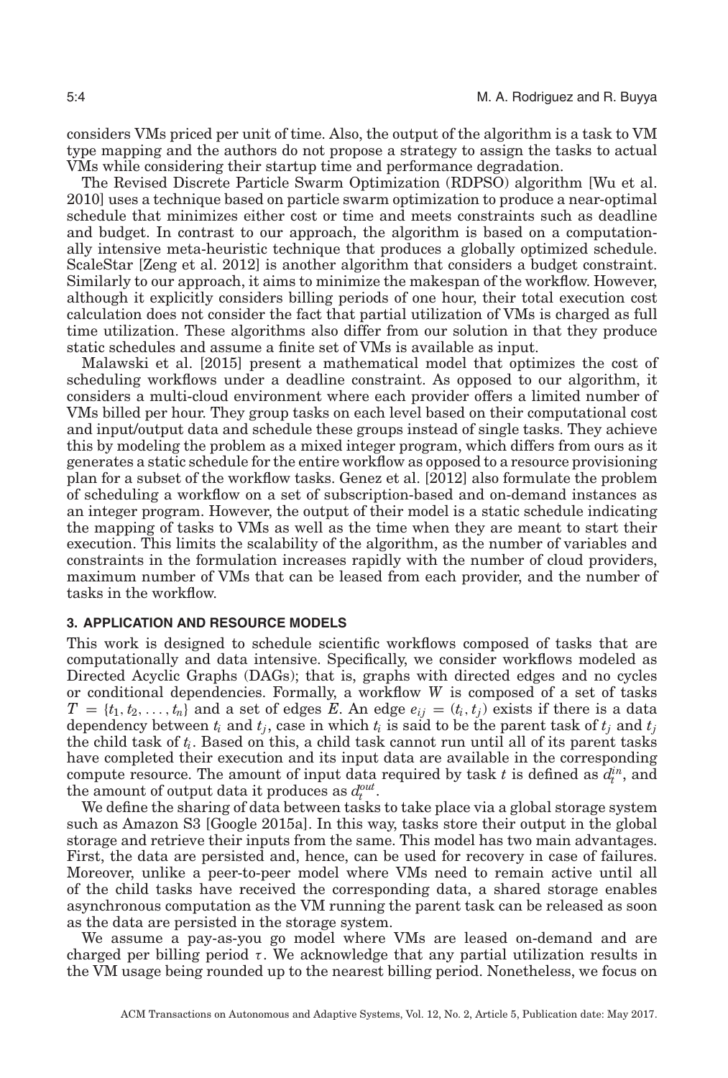considers VMs priced per unit of time. Also, the output of the algorithm is a task to VM type mapping and the authors do not propose a strategy to assign the tasks to actual VMs while considering their startup time and performance degradation.

The Revised Discrete Particle Swarm Optimization (RDPSO) algorithm [Wu et al. [2010\]](#page-21-3) uses a technique based on particle swarm optimization to produce a near-optimal schedule that minimizes either cost or time and meets constraints such as deadline and budget. In contrast to our approach, the algorithm is based on a computationally intensive meta-heuristic technique that produces a globally optimized schedule. ScaleStar [Zeng et al. [2012\]](#page-21-4) is another algorithm that considers a budget constraint. Similarly to our approach, it aims to minimize the makespan of the workflow. However, although it explicitly considers billing periods of one hour, their total execution cost calculation does not consider the fact that partial utilization of VMs is charged as full time utilization. These algorithms also differ from our solution in that they produce static schedules and assume a finite set of VMs is available as input.

Malawski et al. [\[2015\]](#page-20-7) present a mathematical model that optimizes the cost of scheduling workflows under a deadline constraint. As opposed to our algorithm, it considers a multi-cloud environment where each provider offers a limited number of VMs billed per hour. They group tasks on each level based on their computational cost and input/output data and schedule these groups instead of single tasks. They achieve this by modeling the problem as a mixed integer program, which differs from ours as it generates a static schedule for the entire workflow as opposed to a resource provisioning plan for a subset of the workflow tasks. Genez et al. [\[2012\]](#page-20-8) also formulate the problem of scheduling a workflow on a set of subscription-based and on-demand instances as an integer program. However, the output of their model is a static schedule indicating the mapping of tasks to VMs as well as the time when they are meant to start their execution. This limits the scalability of the algorithm, as the number of variables and constraints in the formulation increases rapidly with the number of cloud providers, maximum number of VMs that can be leased from each provider, and the number of tasks in the workflow.

## **3. APPLICATION AND RESOURCE MODELS**

<span id="page-3-0"></span>This work is designed to schedule scientific workflows composed of tasks that are computationally and data intensive. Specifically, we consider workflows modeled as Directed Acyclic Graphs (DAGs); that is, graphs with directed edges and no cycles or conditional dependencies. Formally, a workflow *W* is composed of a set of tasks  $T = \{t_1, t_2, \ldots, t_n\}$  and a set of edges *E*. An edge  $e_{ij} = (t_i, t_j)$  exists if there is a data dependency between  $t_i$  and  $t_j$ , case in which  $t_i$  is said to be the parent task of  $t_j$  and  $t_j$ the child task of *ti*. Based on this, a child task cannot run until all of its parent tasks have completed their execution and its input data are available in the corresponding compute resource. The amount of input data required by task *t* is defined as  $\overline{d}_t^{in}$ , and the amount of output data it produces as  $d_t^{out}$ .

We define the sharing of data between tasks to take place via a global storage system such as Amazon S3 [Google [2015a\]](#page-20-9). In this way, tasks store their output in the global storage and retrieve their inputs from the same. This model has two main advantages. First, the data are persisted and, hence, can be used for recovery in case of failures. Moreover, unlike a peer-to-peer model where VMs need to remain active until all of the child tasks have received the corresponding data, a shared storage enables asynchronous computation as the VM running the parent task can be released as soon as the data are persisted in the storage system.

We assume a pay-as-you go model where VMs are leased on-demand and are charged per billing period  $\tau$ . We acknowledge that any partial utilization results in the VM usage being rounded up to the nearest billing period. Nonetheless, we focus on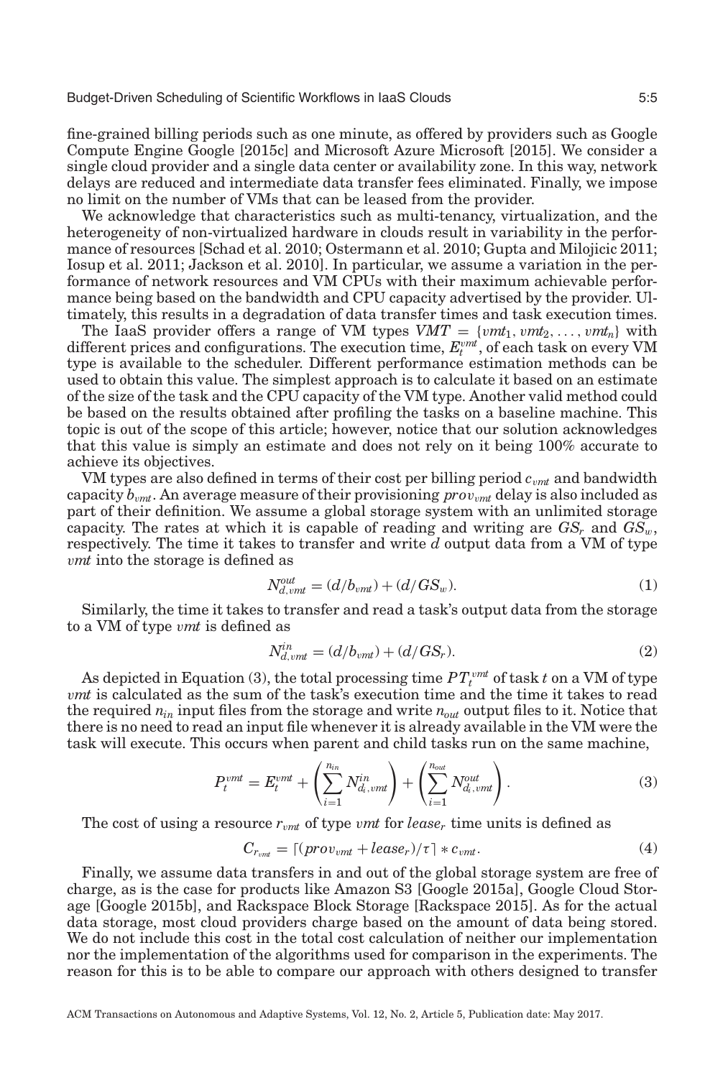Budget-Driven Scheduling of Scientific Workflows in IaaS Clouds 5:5

fine-grained billing periods such as one minute, as offered by providers such as Google Compute Engine Google [\[2015c\]](#page-20-10) and Microsoft Azure Microsoft [\[2015\]](#page-20-11). We consider a single cloud provider and a single data center or availability zone. In this way, network delays are reduced and intermediate data transfer fees eliminated. Finally, we impose no limit on the number of VMs that can be leased from the provider.

We acknowledge that characteristics such as multi-tenancy, virtualization, and the heterogeneity of non-virtualized hardware in clouds result in variability in the performance of resources [Schad et al. [2010;](#page-21-5) Ostermann et al. [2010;](#page-20-12) Gupta and Milojicic [2011;](#page-20-13) Iosup et al. [2011;](#page-20-14) Jackson et al. [2010\]](#page-20-15). In particular, we assume a variation in the performance of network resources and VM CPUs with their maximum achievable performance being based on the bandwidth and CPU capacity advertised by the provider. Ultimately, this results in a degradation of data transfer times and task execution times.

The IaaS provider offers a range of VM types  $VMT = \{vmt_1, vmt_2, \ldots, vmt_n\}$  with different prices and configurations. The execution time,  $E_t^{vmt}$ , of each task on every VM type is available to the scheduler. Different performance estimation methods can be used to obtain this value. The simplest approach is to calculate it based on an estimate of the size of the task and the CPU capacity of the VM type. Another valid method could be based on the results obtained after profiling the tasks on a baseline machine. This topic is out of the scope of this article; however, notice that our solution acknowledges that this value is simply an estimate and does not rely on it being 100% accurate to achieve its objectives.

VM types are also defined in terms of their cost per billing period *c*v*mt* and bandwidth capacity  $b_{vnt}$ . An average measure of their provisioning  $prov_{vnt}$  delay is also included as part of their definition. We assume a global storage system with an unlimited storage capacity. The rates at which it is capable of reading and writing are  $GS_r$  and  $GS_w$ , respectively. The time it takes to transfer and write *d* output data from a VM of type v*mt* into the storage is defined as

$$
N_{d,vmt}^{out} = (d/b_{vmt}) + (d/GS_w).
$$
\n<sup>(1)</sup>

Similarly, the time it takes to transfer and read a task's output data from the storage to a VM of type v*mt* is defined as

<span id="page-4-0"></span>
$$
N_{d,vmt}^{in} = (d/b_{vmt}) + (d/GS_r).
$$
 (2)

As depicted in Equation [\(3\)](#page-4-0), the total processing time  $PT_t^{vmt}$  of task  $t$  on a VM of type v*mt* is calculated as the sum of the task's execution time and the time it takes to read the required  $n_{in}$  input files from the storage and write  $n_{out}$  output files to it. Notice that there is no need to read an input file whenever it is already available in the VM were the task will execute. This occurs when parent and child tasks run on the same machine,

$$
P_t^{\nu mt} = E_t^{\nu mt} + \left(\sum_{i=1}^{n_{in}} N_{d_i, \nu mt}^{in}\right) + \left(\sum_{i=1}^{n_{out}} N_{d_i, \nu mt}^{out}\right).
$$
 (3)

The cost of using a resource *r*v*mt* of type v*mt* for *leaser* time units is defined as

$$
C_{r_{vmt}} = \lceil (prov_{vmt} + lease_r) / \tau \rceil * c_{vmt}.
$$
\n(4)

Finally, we assume data transfers in and out of the global storage system are free of charge, as is the case for products like Amazon S3 [Google [2015a\]](#page-20-9), Google Cloud Storage [Google [2015b\]](#page-20-16), and Rackspace Block Storage [Rackspace [2015\]](#page-20-17). As for the actual data storage, most cloud providers charge based on the amount of data being stored. We do not include this cost in the total cost calculation of neither our implementation nor the implementation of the algorithms used for comparison in the experiments. The reason for this is to be able to compare our approach with others designed to transfer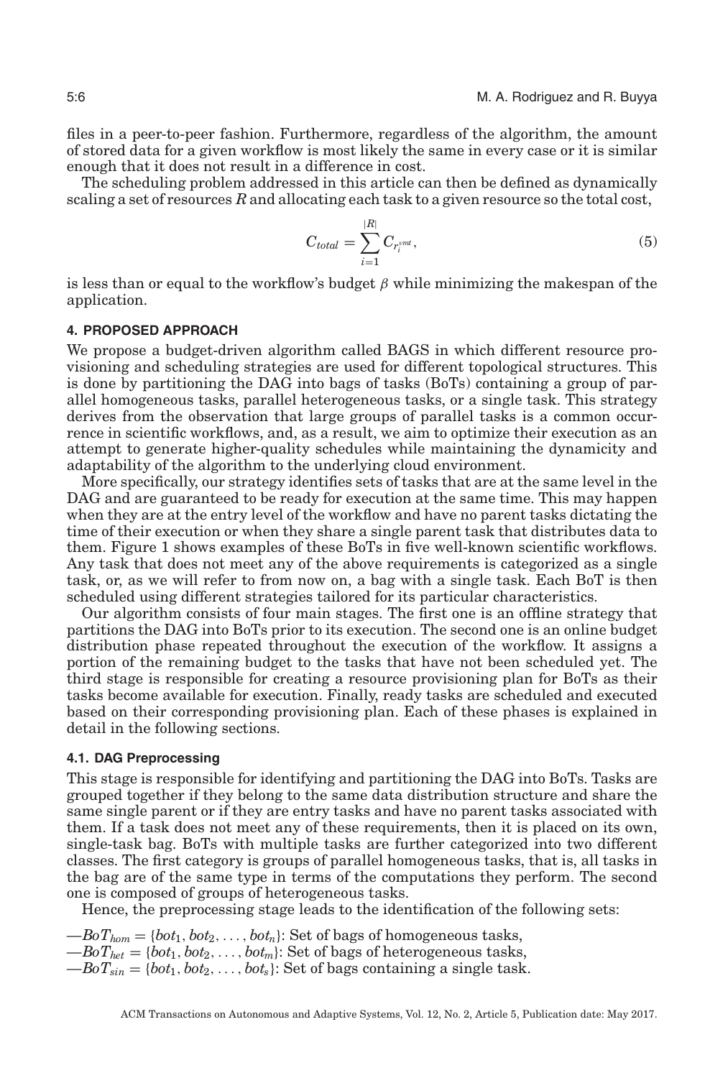files in a peer-to-peer fashion. Furthermore, regardless of the algorithm, the amount of stored data for a given workflow is most likely the same in every case or it is similar enough that it does not result in a difference in cost.

The scheduling problem addressed in this article can then be defined as dynamically scaling a set of resources *R*and allocating each task to a given resource so the total cost,

<span id="page-5-0"></span>
$$
C_{total} = \sum_{i=1}^{|R|} C_{r_i^{vmt}},\tag{5}
$$

is less than or equal to the workflow's budget  $\beta$  while minimizing the makespan of the application.

## **4. PROPOSED APPROACH**

We propose a budget-driven algorithm called BAGS in which different resource provisioning and scheduling strategies are used for different topological structures. This is done by partitioning the DAG into bags of tasks (BoTs) containing a group of parallel homogeneous tasks, parallel heterogeneous tasks, or a single task. This strategy derives from the observation that large groups of parallel tasks is a common occurrence in scientific workflows, and, as a result, we aim to optimize their execution as an attempt to generate higher-quality schedules while maintaining the dynamicity and adaptability of the algorithm to the underlying cloud environment.

More specifically, our strategy identifies sets of tasks that are at the same level in the DAG and are guaranteed to be ready for execution at the same time. This may happen when they are at the entry level of the workflow and have no parent tasks dictating the time of their execution or when they share a single parent task that distributes data to them. Figure [1](#page-6-0) shows examples of these BoTs in five well-known scientific workflows. Any task that does not meet any of the above requirements is categorized as a single task, or, as we will refer to from now on, a bag with a single task. Each BoT is then scheduled using different strategies tailored for its particular characteristics.

Our algorithm consists of four main stages. The first one is an offline strategy that partitions the DAG into BoTs prior to its execution. The second one is an online budget distribution phase repeated throughout the execution of the workflow. It assigns a portion of the remaining budget to the tasks that have not been scheduled yet. The third stage is responsible for creating a resource provisioning plan for BoTs as their tasks become available for execution. Finally, ready tasks are scheduled and executed based on their corresponding provisioning plan. Each of these phases is explained in detail in the following sections.

## **4.1. DAG Preprocessing**

This stage is responsible for identifying and partitioning the DAG into BoTs. Tasks are grouped together if they belong to the same data distribution structure and share the same single parent or if they are entry tasks and have no parent tasks associated with them. If a task does not meet any of these requirements, then it is placed on its own, single-task bag. BoTs with multiple tasks are further categorized into two different classes. The first category is groups of parallel homogeneous tasks, that is, all tasks in the bag are of the same type in terms of the computations they perform. The second one is composed of groups of heterogeneous tasks.

Hence, the preprocessing stage leads to the identification of the following sets:

 $-BoT_{hom} = \{bot_1, bot_2, \ldots, bot_n\}$ : Set of bags of homogeneous tasks,  $-BoT_{het} = \{bot_1, bot_2, \ldots, bot_m\}$ : Set of bags of heterogeneous tasks,  $-BoT_{sin} = \{bot_1, bot_2, \ldots, bot_s\}$ : Set of bags containing a single task.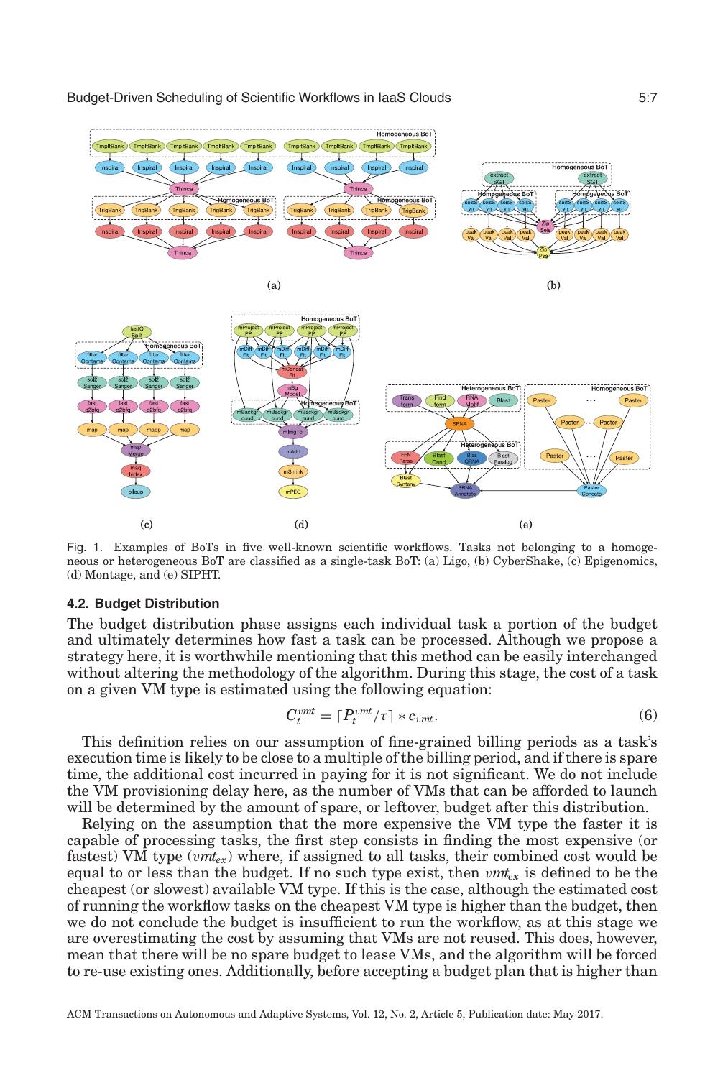

<span id="page-6-0"></span>

Fig. 1. Examples of BoTs in five well-known scientific workflows. Tasks not belonging to a homogeneous or heterogeneous BoT are classified as a single-task BoT: (a) Ligo, (b) CyberShake, (c) Epigenomics, (d) Montage, and (e) SIPHT.

# **4.2. Budget Distribution**

The budget distribution phase assigns each individual task a portion of the budget and ultimately determines how fast a task can be processed. Although we propose a strategy here, it is worthwhile mentioning that this method can be easily interchanged without altering the methodology of the algorithm. During this stage, the cost of a task on a given VM type is estimated using the following equation:

<span id="page-6-1"></span>
$$
C_t^{vmt} = \lceil P_t^{vmt} / \tau \rceil * c_{vmt}.
$$
\n
$$
\tag{6}
$$

This definition relies on our assumption of fine-grained billing periods as a task's execution time is likely to be close to a multiple of the billing period, and if there is spare time, the additional cost incurred in paying for it is not significant. We do not include the VM provisioning delay here, as the number of VMs that can be afforded to launch will be determined by the amount of spare, or leftover, budget after this distribution.

Relying on the assumption that the more expensive the VM type the faster it is capable of processing tasks, the first step consists in finding the most expensive (or fastest) VM type (v*mtex*) where, if assigned to all tasks, their combined cost would be equal to or less than the budget. If no such type exist, then v*mtex* is defined to be the cheapest (or slowest) available VM type. If this is the case, although the estimated cost of running the workflow tasks on the cheapest VM type is higher than the budget, then we do not conclude the budget is insufficient to run the workflow, as at this stage we are overestimating the cost by assuming that VMs are not reused. This does, however, mean that there will be no spare budget to lease VMs, and the algorithm will be forced to re-use existing ones. Additionally, before accepting a budget plan that is higher than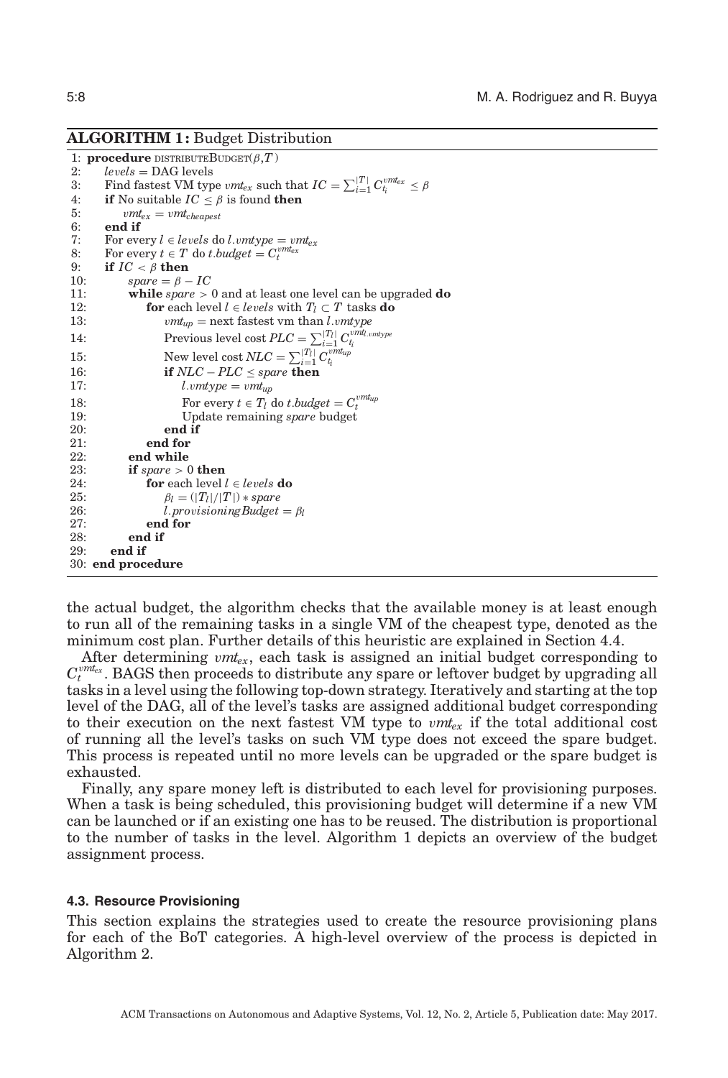#### **ALGORITHM 1:** Budget Distribution

```
1: procedure DISTRIBUTEBUDGET(β,T)
2: levels = DAG levels<br>3: Find fastest VM tvp
3: Find fastest VM type vmt<sub>ex</sub> such that IC = \sum_{i=1}^{|T|} C_{t_i}^{v m t_{e x}} \leq \beta4: if No suitable IC \leq \beta is found then
5: vmt_{ex} = vmt_{cheapest}<br>6: end if
        6: end if
7: For every l \in levels \, \text{do} \, l.\text{vmtype} = \text{vmt}_{ex}<br>8: For every t \in T \, \text{do} \, t.\text{budget} = C_t^{\text{vmt}_{ex}}9: if IC < \beta then<br>10: spare = \beta -
              space = \beta - IC11: while space > 0 and at least one level can be upgraded do<br>12: for each level l \in levels with T_l \subset T tasks do
12: for each level l \in levels with T_l \subset T tasks do 13: wnt<sub>up</sub> = next fastest ym than l wntype
                        vmt_{up} = next fastest vm than l.vmtype14: Previous level cost PLC = \sum_{i=1}^{|T_l|} C_{t_i}^{vmt_{l,vmtype}}<br>
15: New level cost NLC = \sum_{i=1}^{|T_l|} C_{t_i}^{vmt_{up}}16: if NLC - PLC \leq spare then
17: l.vmtype = vmt_{up}18: For every t \in T_l do t.budget = C_t^{vmt_{up}}19: Update remaining spare budget
20: end if
                   end for
22: end while
23: if space > 0 then<br>24: for each level.
24: for each level l \in levels do<br>25: \beta_l = (|T_l|/|T|) * spare25: \beta_l = (|T_l|/|T|) * spare<br>26· I provisioning Budget
26: l.provisioningBudget = \beta_l<br>27: end for
27: end for \frac{27}{28}28: end if
          end if
30: end procedure
```
the actual budget, the algorithm checks that the available money is at least enough to run all of the remaining tasks in a single VM of the cheapest type, denoted as the minimum cost plan. Further details of this heuristic are explained in Section [4.4.](#page-11-0)

After determining v*mtex*, each task is assigned an initial budget corresponding to  $C_t^{vmt_{ex}}$ . BAGS then proceeds to distribute any spare or leftover budget by upgrading all tasks in a level using the following top-down strategy. Iteratively and starting at the top level of the DAG, all of the level's tasks are assigned additional budget corresponding to their execution on the next fastest VM type to v*mtex* if the total additional cost of running all the level's tasks on such VM type does not exceed the spare budget. This process is repeated until no more levels can be upgraded or the spare budget is exhausted.

Finally, any spare money left is distributed to each level for provisioning purposes. When a task is being scheduled, this provisioning budget will determine if a new VM can be launched or if an existing one has to be reused. The distribution is proportional to the number of tasks in the level. Algorithm 1 depicts an overview of the budget assignment process.

## **4.3. Resource Provisioning**

This section explains the strategies used to create the resource provisioning plans for each of the BoT categories. A high-level overview of the process is depicted in Algorithm 2.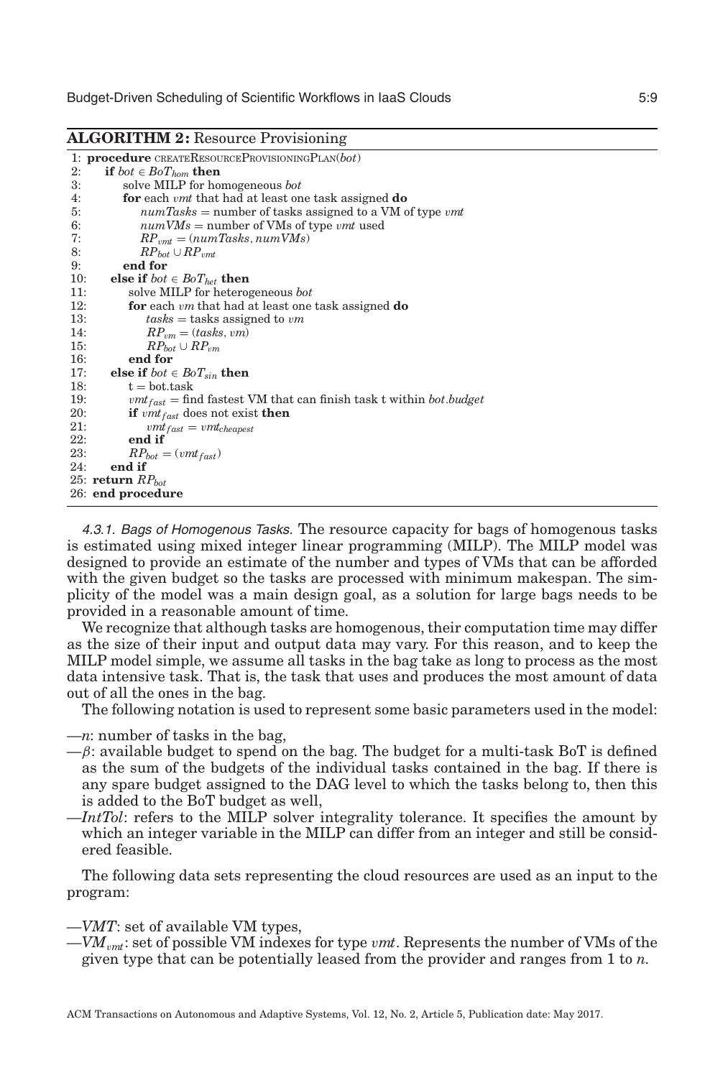| <b>ALGORITHM 2: Resource Provisioning</b>                                      |  |  |  |  |
|--------------------------------------------------------------------------------|--|--|--|--|
| 1: $procedure$ CREATERESOURCEPROVISIONINGPLAN $(bot)$                          |  |  |  |  |
| 2:<br><b>if</b> bot $\in$ BoT <sub>hom</sub> then                              |  |  |  |  |
| 3:<br>solve MILP for homogeneous bot                                           |  |  |  |  |
| 4:<br><b>for</b> each <i>vmt</i> that had at least one task assigned <b>do</b> |  |  |  |  |
| 5:<br>$numTasks = number of tasks assigned to a VM of type vmt$                |  |  |  |  |
| 6:<br>$numVMs = number of VMs of type$ <i>umber</i>                            |  |  |  |  |
| 7:<br>$RP_{vmt} = (numTasks, numVMs)$                                          |  |  |  |  |
| 8:<br>$RP_{hot} \cup RP_{vmt}$                                                 |  |  |  |  |
| end for<br>9:                                                                  |  |  |  |  |
| 10:<br>else if $bot \in BoT_{het}$ then                                        |  |  |  |  |
| 11:<br>solve MILP for heterogeneous bot                                        |  |  |  |  |
| for each $vm$ that had at least one task assigned do<br>12:                    |  |  |  |  |
| 13:<br>$tasks = tasks$ assigned to $vm$                                        |  |  |  |  |
| 14:<br>$RP_{vm} = (tasks,vm)$                                                  |  |  |  |  |
| 15:<br>$RP_{bot} \cup RP_{vm}$                                                 |  |  |  |  |
| end for<br>16:                                                                 |  |  |  |  |
| 17:<br>else if $bot \in BoT_{sin}$ then                                        |  |  |  |  |
| 18:<br>$t = \text{bot}$ task                                                   |  |  |  |  |
| 19:<br>$vmt_{fast}$ = find fastest VM that can finish task t within bot budget |  |  |  |  |
| 20:<br>if $vmt_{fast}$ does not exist then                                     |  |  |  |  |
| 21:<br>$vmt_{fast} = vmt_{cheapest}$                                           |  |  |  |  |
| 22:<br>end if                                                                  |  |  |  |  |
| 23:<br>$RP_{bot} = (vmt_{fast})$                                               |  |  |  |  |
| 24:<br>end if                                                                  |  |  |  |  |
| 25: return $RP_{bot}$                                                          |  |  |  |  |
| 26: end procedure                                                              |  |  |  |  |

<span id="page-8-0"></span>4.3.1. Bags of Homogenous Tasks. The resource capacity for bags of homogenous tasks is estimated using mixed integer linear programming (MILP). The MILP model was designed to provide an estimate of the number and types of VMs that can be afforded with the given budget so the tasks are processed with minimum makespan. The simplicity of the model was a main design goal, as a solution for large bags needs to be provided in a reasonable amount of time.

We recognize that although tasks are homogenous, their computation time may differ as the size of their input and output data may vary. For this reason, and to keep the MILP model simple, we assume all tasks in the bag take as long to process as the most data intensive task. That is, the task that uses and produces the most amount of data out of all the ones in the bag.

The following notation is used to represent some basic parameters used in the model:

—*n*: number of tasks in the bag,

- $-\beta$ : available budget to spend on the bag. The budget for a multi-task BoT is defined as the sum of the budgets of the individual tasks contained in the bag. If there is any spare budget assigned to the DAG level to which the tasks belong to, then this is added to the BoT budget as well,
- —*IntTol*: refers to the MILP solver integrality tolerance. It specifies the amount by which an integer variable in the MILP can differ from an integer and still be considered feasible.

The following data sets representing the cloud resources are used as an input to the program:

—*VMT*: set of available VM types,

—*VM*v*mt*: set of possible VM indexes for type v*mt*. Represents the number of VMs of the given type that can be potentially leased from the provider and ranges from 1 to *n*.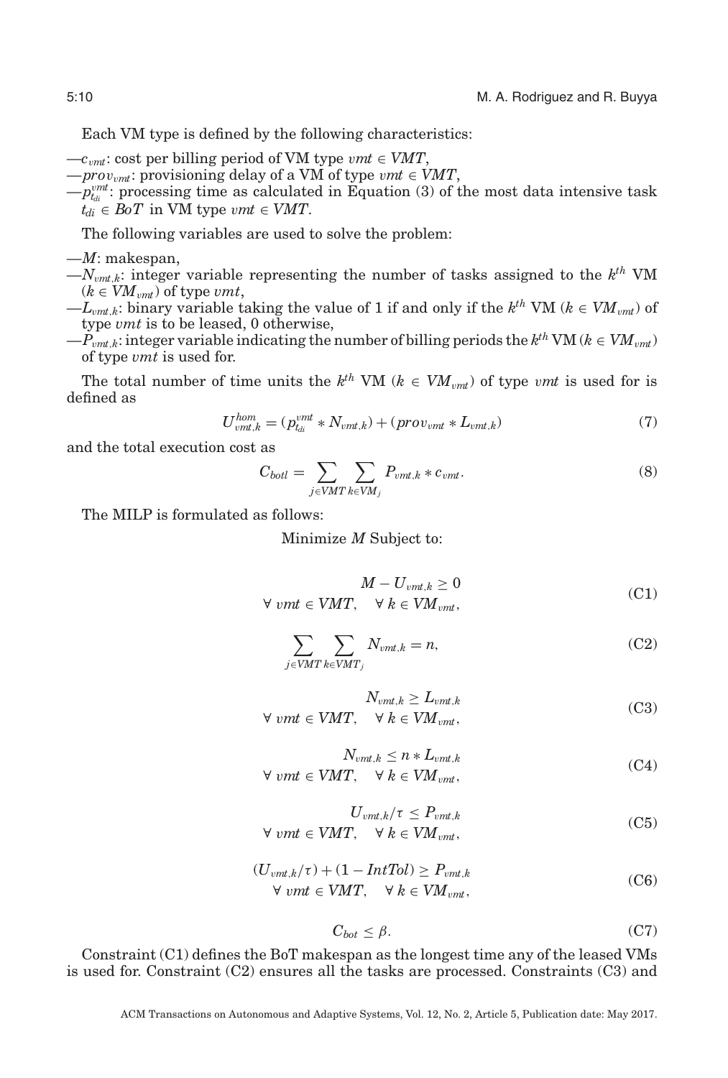Each VM type is defined by the following characteristics:

- $-c<sub>vmt</sub>$ : cost per billing period of VM type  $vmt \in VMT$ ,
- $-prov<sub>vmt</sub>$ : provisioning delay of a VM of type  $vmt \in VMT$ ,
- $-p_{t_{di}}^{vmt}$ : processing time as calculated in Equation [\(3\)](#page-4-0) of the most data intensive task  $t_{di}$   $\in$  *BoT* in VM type *vmt*  $\in$  *VMT*.

The following variables are used to solve the problem:

—*M*: makespan,

- $-N_{vmt,k}$ : integer variable representing the number of tasks assigned to the  $k^{th}$  VM  $(k \in VM_{vmt})$  of type  $vmt$ ,
- $-L_{vmt,k}$ : binary variable taking the value of 1 if and only if the  $k^{th}$  VM ( $k \in VM_{vmt}$ ) of type *vmt* is to be leased, 0 otherwise,
- $-P_{vmt,k}$ : integer variable indicating the number of billing periods the  $k^{th}$  VM ( $k \in VM_{vmt}$ ) of type *vmt* is used for.

The total number of time units the  $k^{th}$  VM ( $k \in VM_{vmt}$ ) of type *vmt* is used for is defined as

$$
U_{vmt,k}^{hom} = (p_{t_{di}}^{vmt} * N_{vmt,k}) + (prov_{vmt} * L_{vmt,k})
$$
\n
$$
\tag{7}
$$

and the total execution cost as

<span id="page-9-4"></span>
$$
C_{boll} = \sum_{j \in VMT} \sum_{k \in VM_j} P_{vmt,k} * c_{vmt}.
$$
\n(8)

<span id="page-9-0"></span>The MILP is formulated as follows:

Minimize *M* Subject to:

$$
M - U_{vmt,k} \ge 0
$$
  
\n
$$
\forall \ vmt \in VMT, \quad \forall \ k \in VM_{vmt},
$$
 (C1)

$$
\sum_{j \in VMT} \sum_{k \in VMT_j} N_{vmt,k} = n,\tag{C2}
$$

$$
N_{vmt,k} \ge L_{vmt,k}
$$
  
\n
$$
\forall vmt \in VMT, \quad \forall k \in VM_{vmt},
$$
 (C3)

$$
N_{vmt,k} \le n * L_{vmt,k}
$$
  
\n
$$
\forall vmt \in VMT, \quad \forall k \in VM_{vmt},
$$
 (C4)

$$
U_{vmt,k}/\tau \le P_{vmt,k}
$$
  
\n
$$
\forall vmt \in VMT, \quad \forall k \in VM_{vmt},
$$
 (C5)

$$
(U_{vmt,k}/\tau) + (1 - IntTol) \ge P_{vmt,k}
$$
  
\n
$$
\forall vmt \in VMT, \quad \forall k \in VM_{vmt},
$$
 (C6)

$$
C_{bot} \le \beta. \tag{C7}
$$

<span id="page-9-3"></span><span id="page-9-2"></span><span id="page-9-1"></span>Constraint [\(C1\)](#page-9-0) defines the BoT makespan as the longest time any of the leased VMs is used for. Constraint [\(C2\)](#page-10-0) ensures all the tasks are processed. Constraints [\(C3\)](#page-10-1) and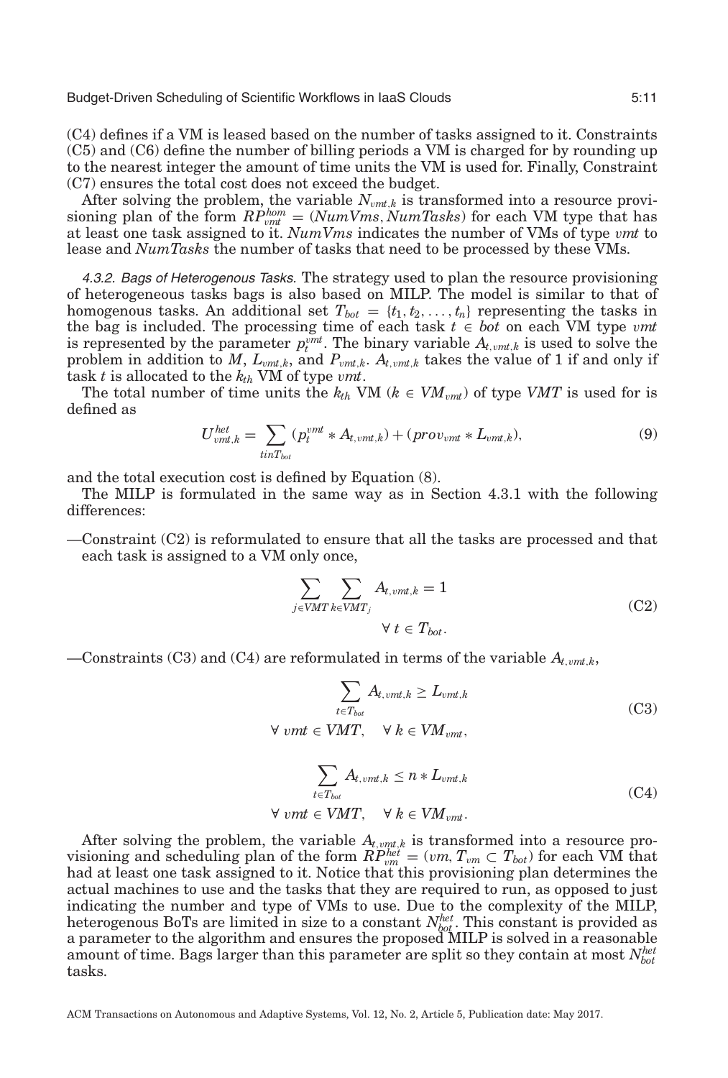Budget-Driven Scheduling of Scientific Workflows in IaaS Clouds 5:11

[\(C4\)](#page-10-2) defines if a VM is leased based on the number of tasks assigned to it. Constraints [\(C5\)](#page-9-1) and [\(C6\)](#page-9-2) define the number of billing periods a VM is charged for by rounding up to the nearest integer the amount of time units the VM is used for. Finally, Constraint [\(C7\)](#page-9-3) ensures the total cost does not exceed the budget.

After solving the problem, the variable  $N_{vmt,k}$  is transformed into a resource provisioning plan of the form  $RP_{vmt}^{hom} = (NumVms, NumTasks)$  for each VM type that has at least one task assigned to it. *NumVms* indicates the number of VMs of type v*mt* to lease and *NumTasks* the number of tasks that need to be processed by these VMs.

4.3.2. Bags of Heterogenous Tasks. The strategy used to plan the resource provisioning of heterogeneous tasks bags is also based on MILP. The model is similar to that of homogenous tasks. An additional set  $T_{bot} = \{t_1, t_2, \ldots, t_n\}$  representing the tasks in the bag is included. The processing time of each task  $t \in bot$  on each VM type *vmt* is represented by the parameter  $p_t^{vmt}$ . The binary variable  $A_{t,vmt,k}$  is used to solve the problem in addition to *M*,  $L_{vmt,k}$ , and  $P_{vmt,k}$ .  $A_{t,vmt,k}$  takes the value of 1 if and only if task *t* is allocated to the  $k_{th}$  VM of type *vmt*.

The total number of time units the  $k_{th}$  VM ( $k \in VM_{vmt}$ ) of type *VMT* is used for is defined as

$$
U_{vmt,k}^{het} = \sum_{\text{tinT}_{bot}} (p_t^{vmt} * A_{t,vmt,k}) + (prov_{vmt} * L_{vmt,k}),
$$
\n(9)

and the total execution cost is defined by Equation [\(8\)](#page-9-4).

The MILP is formulated in the same way as in Section [4.3.1](#page-8-0) with the following differences:

—Constraint [\(C2\)](#page-10-0) is reformulated to ensure that all the tasks are processed and that each task is assigned to a VM only once,

<span id="page-10-1"></span><span id="page-10-0"></span>
$$
\sum_{j \in VMT} \sum_{k \in VMT_j} A_{t, vmt, k} = 1
$$
\n
$$
\forall t \in T_{bot}.
$$
\n(C2)

 $\sim$  Constraints [\(C3\)](#page-10-1) and [\(C4\)](#page-10-2) are reformulated in terms of the variable  $A_{t,vmt,k}$ ,

$$
\sum_{t \in T_{bot}} A_{t, vmt, k} \ge L_{vmt, k}
$$
\n
$$
\forall vmt \in VMT, \quad \forall k \in VM_{vmt},
$$
\n(C3)

$$
\sum_{t \in T_{bot}} A_{t,vmt,k} \le n * L_{vmt,k}
$$
\n
$$
\forall vmt \in VMT, \quad \forall k \in VM_{vmt}.
$$
\n(C4)

<span id="page-10-2"></span>After solving the problem, the variable  $A_{t,v\eta t,k}$  is transformed into a resource provisioning and scheduling plan of the form  $RP_{vm}^{het} = (vm, T_{vm} \subset T_{bot})$  for each VM that had at least one task assigned to it. Notice that this provisioning plan determines the actual machines to use and the tasks that they are required to run, as opposed to just indicating the number and type of VMs to use. Due to the complexity of the MILP, heterogenous BoTs are limited in size to a constant  $N_{bot}^{het}$ . This constant is provided as a parameter to the algorithm and ensures the proposed MILP is solved in a reasonable amount of time. Bags larger than this parameter are split so they contain at most  $N_{bot}^{het}$ tasks.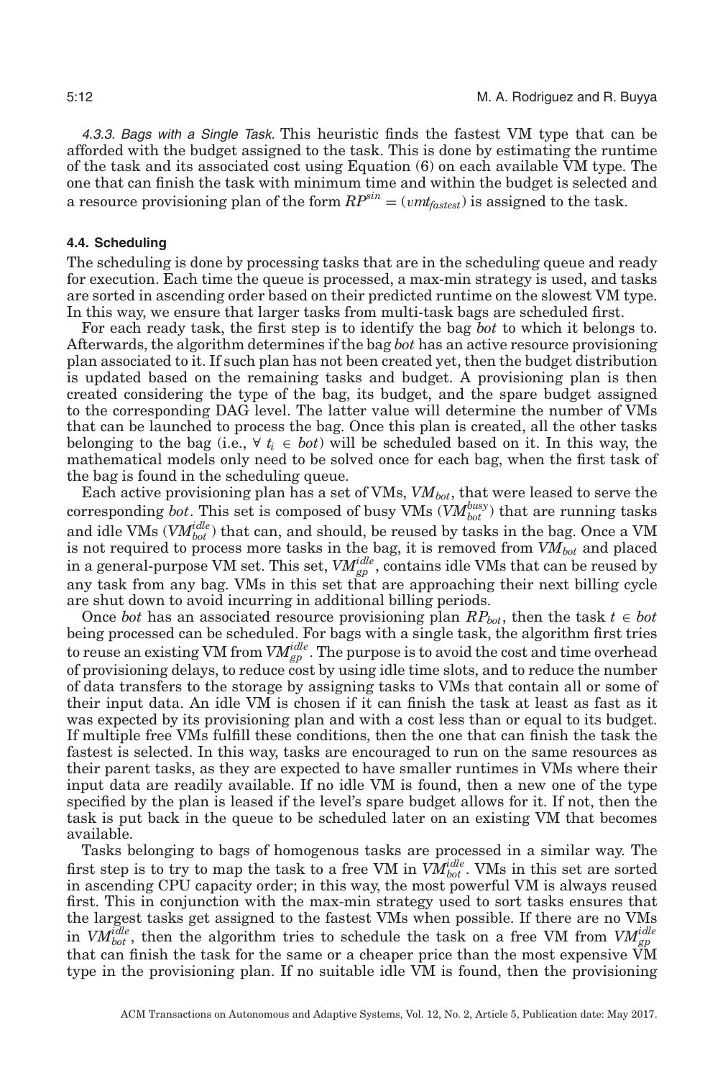4.3.3. Bags with <sup>a</sup> Single Task. This heuristic finds the fastest VM type that can be afforded with the budget assigned to the task. This is done by estimating the runtime of the task and its associated cost using Equation [\(6\)](#page-6-1) on each available VM type. The one that can finish the task with minimum time and within the budget is selected and a resource provisioning plan of the form  $RP^{sin} = (vm_{fastest})$  is assigned to the task.

#### **4.4. Scheduling**

<span id="page-11-0"></span>The scheduling is done by processing tasks that are in the scheduling queue and ready for execution. Each time the queue is processed, a max-min strategy is used, and tasks are sorted in ascending order based on their predicted runtime on the slowest VM type. In this way, we ensure that larger tasks from multi-task bags are scheduled first.

For each ready task, the first step is to identify the bag *bot* to which it belongs to. Afterwards, the algorithm determines if the bag *bot* has an active resource provisioning plan associated to it. If such plan has not been created yet, then the budget distribution is updated based on the remaining tasks and budget. A provisioning plan is then created considering the type of the bag, its budget, and the spare budget assigned to the corresponding DAG level. The latter value will determine the number of VMs that can be launched to process the bag. Once this plan is created, all the other tasks belonging to the bag (i.e.,  $\forall t_i \in bot$ ) will be scheduled based on it. In this way, the mathematical models only need to be solved once for each bag, when the first task of the bag is found in the scheduling queue.

Each active provisioning plan has a set of VMs, *VMbot*, that were leased to serve the corresponding *bot*. This set is composed of busy VMs  $(VM_{bot}^{busy})$  that are running tasks and idle VMs ( $VM_{bot}^{idle}$ ) that can, and should, be reused by tasks in the bag. Once a VM is not required to process more tasks in the bag, it is removed from  $VM_{bot}$  and placed in a general-purpose VM set. This set,  $VM_{gp}^{idle}$  , contains idle VMs that can be reused by any task from any bag. VMs in this set that are approaching their next billing cycle are shut down to avoid incurring in additional billing periods.

Once *bot* has an associated resource provisioning plan  $RP_{bot}$ , then the task  $t \in bot$ being processed can be scheduled. For bags with a single task, the algorithm first tries to reuse an existing VM from  $VM_{gp}^{idle}$  . The purpose is to avoid the cost and time overhead of provisioning delays, to reduce cost by using idle time slots, and to reduce the number of data transfers to the storage by assigning tasks to VMs that contain all or some of their input data. An idle VM is chosen if it can finish the task at least as fast as it was expected by its provisioning plan and with a cost less than or equal to its budget. If multiple free VMs fulfill these conditions, then the one that can finish the task the fastest is selected. In this way, tasks are encouraged to run on the same resources as their parent tasks, as they are expected to have smaller runtimes in VMs where their input data are readily available. If no idle VM is found, then a new one of the type specified by the plan is leased if the level's spare budget allows for it. If not, then the task is put back in the queue to be scheduled later on an existing VM that becomes available.

Tasks belonging to bags of homogenous tasks are processed in a similar way. The first step is to try to map the task to a free VM in  $VM_{bot}^{idle}$ . VMs in this set are sorted in ascending CPU capacity order; in this way, the most powerful VM is always reused first. This in conjunction with the max-min strategy used to sort tasks ensures that the largest tasks get assigned to the fastest VMs when possible. If there are no VMs in  $VM_{bot}^{idle}$ , then the algorithm tries to schedule the task on a free VM from  $VM_{gp}^{idle}$ that can finish the task for the same or a cheaper price than the most expensive  $\tilde{VM}$ type in the provisioning plan. If no suitable idle VM is found, then the provisioning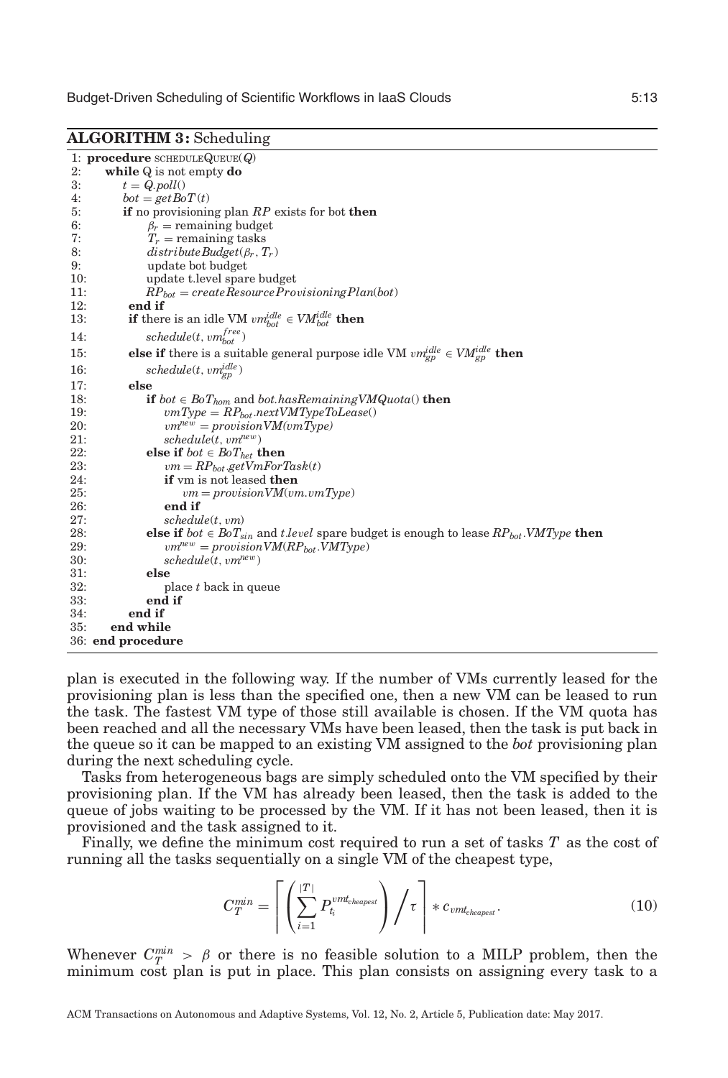| $\bf{ALW}$                                                                                                          |  |  |  |  |
|---------------------------------------------------------------------------------------------------------------------|--|--|--|--|
| 1: <b>procedure</b> SCHEDULEQUEUE $(Q)$                                                                             |  |  |  |  |
| 2:<br>while $Q$ is not empty do                                                                                     |  |  |  |  |
| 3:<br>$t = Q_{.} \text{pol}(t)$                                                                                     |  |  |  |  |
| $bot = getBoT(t)$<br>4:                                                                                             |  |  |  |  |
| <b>if</b> no provisioning plan $RP$ exists for bot <b>then</b><br>5:                                                |  |  |  |  |
| 6:<br>$\beta_r$ = remaining budget                                                                                  |  |  |  |  |
| $T_r$ = remaining tasks<br>7:                                                                                       |  |  |  |  |
| 8:<br>$distri$ bute Budget $(\beta_r, T_r)$                                                                         |  |  |  |  |
| 9:<br>update bot budget                                                                                             |  |  |  |  |
| 10:<br>update t.level spare budget                                                                                  |  |  |  |  |
| 11:<br>$RP_{bot} = createResource Provisioning Plan(bot)$                                                           |  |  |  |  |
| 12:<br>end if                                                                                                       |  |  |  |  |
| <b>if</b> there is an idle VM $vmbotidle \in VMbotidle$ then<br>13:                                                 |  |  |  |  |
| schedule(t, $vm_{hot}^{free}$ )<br>14:                                                                              |  |  |  |  |
| <b>else if</b> there is a suitable general purpose idle VM $vm_{gp}^{idle} \in VM_{gp}^{idle}$ then<br>15:          |  |  |  |  |
| schedule(t, $vm_{gp}^{idle}$ )<br>16:                                                                               |  |  |  |  |
| 17:<br>else                                                                                                         |  |  |  |  |
| 18:<br><b>if</b> $bot \in BoT_{hom}$ and $bot. hasRemaining VMQuota()$ <b>then</b>                                  |  |  |  |  |
| 19:<br>$v mType = RP_{bot}.nextVMTypeToLease()$                                                                     |  |  |  |  |
| 20:<br>$vm^{new} = provisionVM(vmType)$                                                                             |  |  |  |  |
| 21:<br>$schedule(t, \, \, \mathit{vm}^{\textit{new}})$                                                              |  |  |  |  |
| 22:<br>else if $bot \in BoT_{het}$ then                                                                             |  |  |  |  |
| 23:<br>$vm = RP_{bot}$ getVmForTask(t)                                                                              |  |  |  |  |
| 24:<br>if ym is not leased then                                                                                     |  |  |  |  |
| 25:<br>$vm = provisionVM(vm.vmType)$                                                                                |  |  |  |  |
| 26:<br>end if                                                                                                       |  |  |  |  |
| 27:<br>schedule(t,vm)                                                                                               |  |  |  |  |
| 28:<br><b>else if</b> $bot \in BoT_{sin}$ and <i>t.level</i> spare budget is enough to lease $RP_{bot}.VMType$ then |  |  |  |  |
| 29:<br>$vm^{new} = provisionVM(RP_{bot}.VMType)$                                                                    |  |  |  |  |
| 30:<br>schedule(t,vm <sup>new</sup> )                                                                               |  |  |  |  |
| 31:<br>else                                                                                                         |  |  |  |  |
| 32:<br>place t back in queue                                                                                        |  |  |  |  |
| 33:<br>end if                                                                                                       |  |  |  |  |
| 34:<br>end if                                                                                                       |  |  |  |  |
| 35:<br>end while                                                                                                    |  |  |  |  |
| 36: end procedure                                                                                                   |  |  |  |  |

**ALGORITHM 3:** Scheduling

plan is executed in the following way. If the number of VMs currently leased for the provisioning plan is less than the specified one, then a new VM can be leased to run the task. The fastest VM type of those still available is chosen. If the VM quota has been reached and all the necessary VMs have been leased, then the task is put back in the queue so it can be mapped to an existing VM assigned to the *bot* provisioning plan during the next scheduling cycle.

Tasks from heterogeneous bags are simply scheduled onto the VM specified by their provisioning plan. If the VM has already been leased, then the task is added to the queue of jobs waiting to be processed by the VM. If it has not been leased, then it is provisioned and the task assigned to it.

Finally, we define the minimum cost required to run a set of tasks *T* as the cost of running all the tasks sequentially on a single VM of the cheapest type,

$$
C_T^{min} = \left\lceil \left( \sum_{i=1}^{|T|} P_{t_i}^{vmt_{cheapest}} \right) / \tau \right\rceil * c_{vmt_{cheapest}}.
$$
 (10)

Whenever  $C_T^{min} > \beta$  or there is no feasible solution to a MILP problem, then the minimum cost plan is put in place. This plan consists on assigning every task to a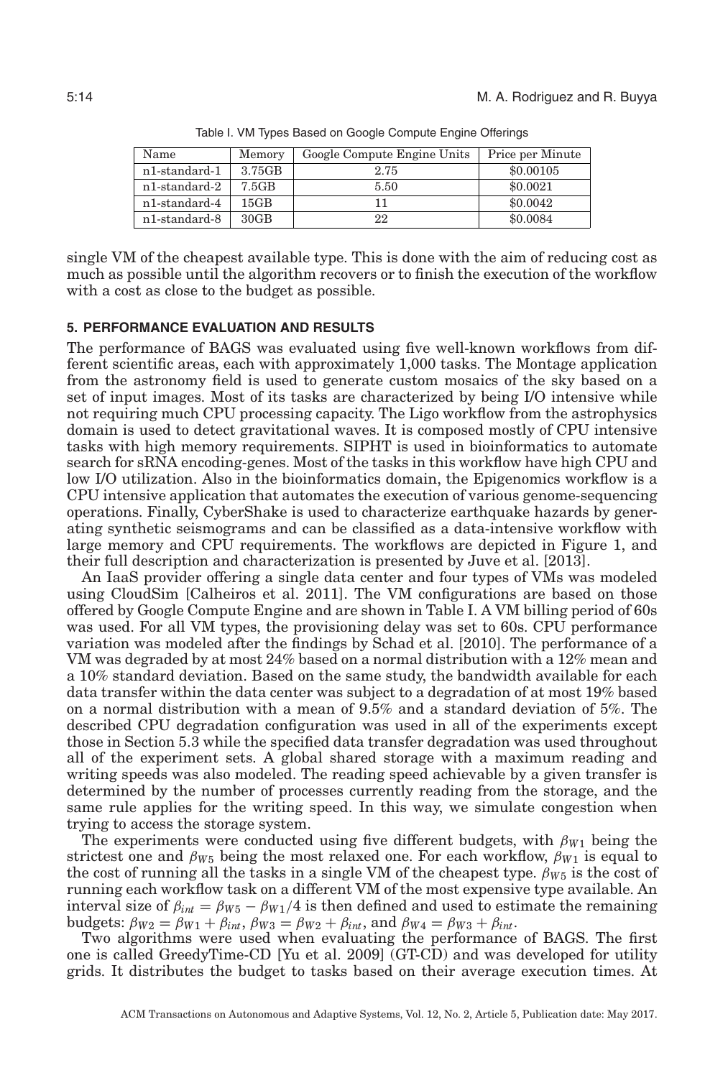<span id="page-13-1"></span>

| Name          | Memory | Google Compute Engine Units | Price per Minute |
|---------------|--------|-----------------------------|------------------|
| n1-standard-1 | 3.75GB | 2.75                        | \$0.00105        |
| n1-standard-2 | 7.5GB  | 5.50                        | \$0.0021         |
| n1-standard-4 | 15GB   | 11                          | \$0.0042         |
| n1-standard-8 | 30GB   | 22                          | \$0.0084         |

<span id="page-13-0"></span>Table I. VM Types Based on Google Compute Engine Offerings

single VM of the cheapest available type. This is done with the aim of reducing cost as much as possible until the algorithm recovers or to finish the execution of the workflow with a cost as close to the budget as possible.

# **5. PERFORMANCE EVALUATION AND RESULTS**

The performance of BAGS was evaluated using five well-known workflows from different scientific areas, each with approximately 1,000 tasks. The Montage application from the astronomy field is used to generate custom mosaics of the sky based on a set of input images. Most of its tasks are characterized by being I/O intensive while not requiring much CPU processing capacity. The Ligo workflow from the astrophysics domain is used to detect gravitational waves. It is composed mostly of CPU intensive tasks with high memory requirements. SIPHT is used in bioinformatics to automate search for sRNA encoding-genes. Most of the tasks in this workflow have high CPU and low I/O utilization. Also in the bioinformatics domain, the Epigenomics workflow is a CPU intensive application that automates the execution of various genome-sequencing operations. Finally, CyberShake is used to characterize earthquake hazards by generating synthetic seismograms and can be classified as a data-intensive workflow with large memory and CPU requirements. The workflows are depicted in Figure [1,](#page-6-0) and their full description and characterization is presented by Juve et al. [\[2013\]](#page-20-18).

An IaaS provider offering a single data center and four types of VMs was modeled using CloudSim [Calheiros et al. [2011\]](#page-20-19). The VM configurations are based on those offered by Google Compute Engine and are shown in Table [I.](#page-13-1) A VM billing period of 60s was used. For all VM types, the provisioning delay was set to 60s. CPU performance variation was modeled after the findings by Schad et al. [\[2010\]](#page-21-5). The performance of a VM was degraded by at most 24% based on a normal distribution with a 12% mean and a 10% standard deviation. Based on the same study, the bandwidth available for each data transfer within the data center was subject to a degradation of at most 19% based on a normal distribution with a mean of 9.5% and a standard deviation of 5%. The described CPU degradation configuration was used in all of the experiments except those in Section [5.3](#page-17-0) while the specified data transfer degradation was used throughout all of the experiment sets. A global shared storage with a maximum reading and writing speeds was also modeled. The reading speed achievable by a given transfer is determined by the number of processes currently reading from the storage, and the same rule applies for the writing speed. In this way, we simulate congestion when trying to access the storage system.

The experiments were conducted using five different budgets, with  $\beta_{W1}$  being the strictest one and  $\beta_{W5}$  being the most relaxed one. For each workflow,  $\beta_{W1}$  is equal to the cost of running all the tasks in a single VM of the cheapest type.  $\beta_{W5}$  is the cost of running each workflow task on a different VM of the most expensive type available. An interval size of  $\beta_{int} = \beta_{W5} - \beta_{W1}/4$  is then defined and used to estimate the remaining budgets: β*W*<sup>2</sup> = β*W*<sup>1</sup> + β*int*, β*W*<sup>3</sup> = β*W*<sup>2</sup> + β*int*, and β*W*<sup>4</sup> = β*W*<sup>3</sup> + β*int*.

Two algorithms were used when evaluating the performance of BAGS. The first one is called GreedyTime-CD [Yu et al. [2009\]](#page-21-6) (GT-CD) and was developed for utility grids. It distributes the budget to tasks based on their average execution times. At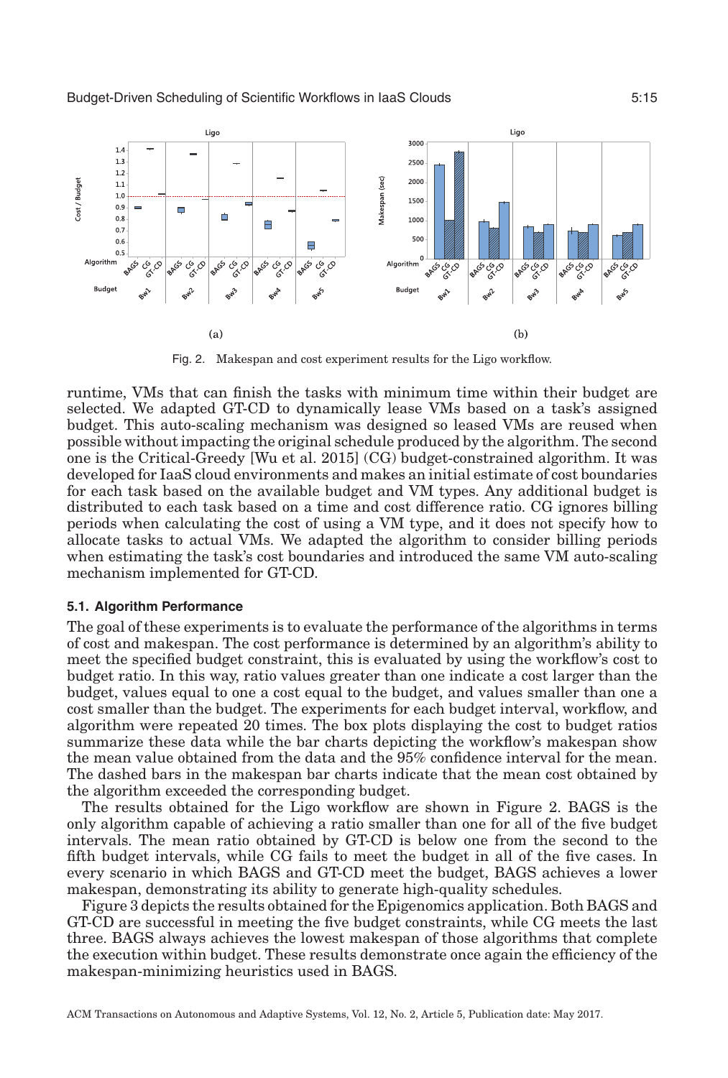<span id="page-14-0"></span>

Fig. 2. Makespan and cost experiment results for the Ligo workflow.

runtime, VMs that can finish the tasks with minimum time within their budget are selected. We adapted GT-CD to dynamically lease VMs based on a task's assigned budget. This auto-scaling mechanism was designed so leased VMs are reused when possible without impacting the original schedule produced by the algorithm. The second one is the Critical-Greedy [Wu et al. [2015\]](#page-21-2) (CG) budget-constrained algorithm. It was developed for IaaS cloud environments and makes an initial estimate of cost boundaries for each task based on the available budget and VM types. Any additional budget is distributed to each task based on a time and cost difference ratio. CG ignores billing periods when calculating the cost of using a VM type, and it does not specify how to allocate tasks to actual VMs. We adapted the algorithm to consider billing periods when estimating the task's cost boundaries and introduced the same VM auto-scaling mechanism implemented for GT-CD.

#### **5.1. Algorithm Performance**

The goal of these experiments is to evaluate the performance of the algorithms in terms of cost and makespan. The cost performance is determined by an algorithm's ability to meet the specified budget constraint, this is evaluated by using the workflow's cost to budget ratio. In this way, ratio values greater than one indicate a cost larger than the budget, values equal to one a cost equal to the budget, and values smaller than one a cost smaller than the budget. The experiments for each budget interval, workflow, and algorithm were repeated 20 times. The box plots displaying the cost to budget ratios summarize these data while the bar charts depicting the workflow's makespan show the mean value obtained from the data and the 95% confidence interval for the mean. The dashed bars in the makespan bar charts indicate that the mean cost obtained by the algorithm exceeded the corresponding budget.

The results obtained for the Ligo workflow are shown in Figure [2.](#page-14-0) BAGS is the only algorithm capable of achieving a ratio smaller than one for all of the five budget intervals. The mean ratio obtained by GT-CD is below one from the second to the fifth budget intervals, while CG fails to meet the budget in all of the five cases. In every scenario in which BAGS and GT-CD meet the budget, BAGS achieves a lower makespan, demonstrating its ability to generate high-quality schedules.

Figure [3](#page-15-0) depicts the results obtained for the Epigenomics application. Both BAGS and GT-CD are successful in meeting the five budget constraints, while CG meets the last three. BAGS always achieves the lowest makespan of those algorithms that complete the execution within budget. These results demonstrate once again the efficiency of the makespan-minimizing heuristics used in BAGS.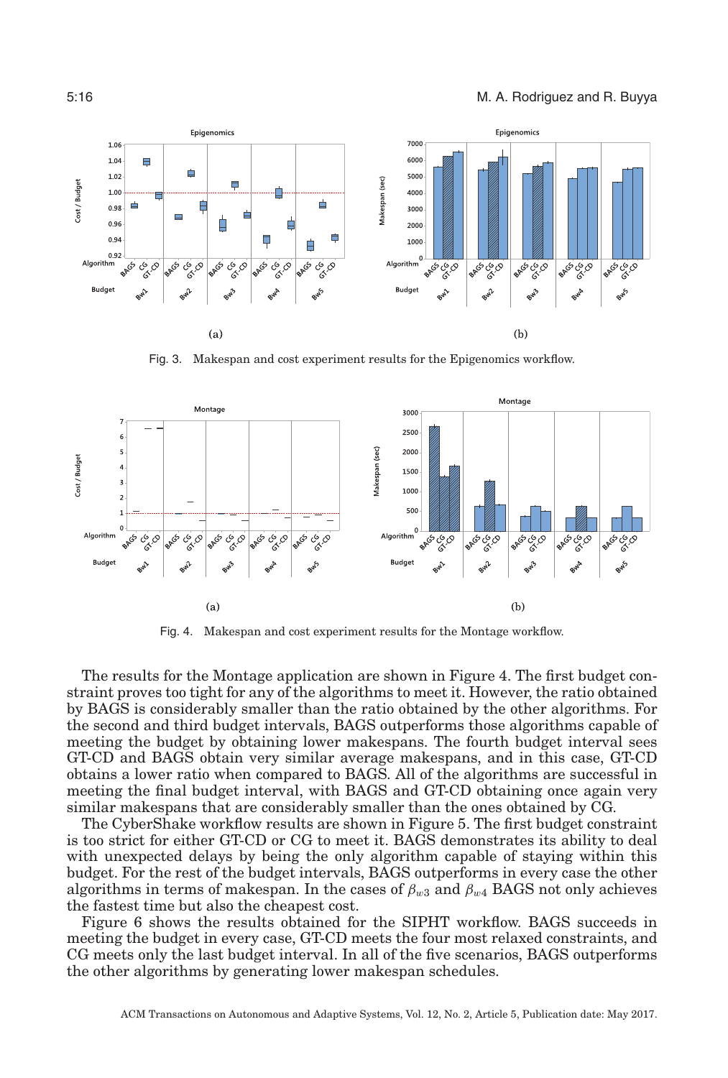<span id="page-15-0"></span>

Fig. 3. Makespan and cost experiment results for the Epigenomics workflow.

<span id="page-15-1"></span>

Fig. 4. Makespan and cost experiment results for the Montage workflow.

The results for the Montage application are shown in Figure [4.](#page-15-1) The first budget constraint proves too tight for any of the algorithms to meet it. However, the ratio obtained by BAGS is considerably smaller than the ratio obtained by the other algorithms. For the second and third budget intervals, BAGS outperforms those algorithms capable of meeting the budget by obtaining lower makespans. The fourth budget interval sees GT-CD and BAGS obtain very similar average makespans, and in this case, GT-CD obtains a lower ratio when compared to BAGS. All of the algorithms are successful in meeting the final budget interval, with BAGS and GT-CD obtaining once again very similar makespans that are considerably smaller than the ones obtained by CG.

The CyberShake workflow results are shown in Figure [5.](#page-16-0) The first budget constraint is too strict for either GT-CD or CG to meet it. BAGS demonstrates its ability to deal with unexpected delays by being the only algorithm capable of staying within this budget. For the rest of the budget intervals, BAGS outperforms in every case the other algorithms in terms of makespan. In the cases of  $\beta_{w3}$  and  $\beta_{w4}$  BAGS not only achieves the fastest time but also the cheapest cost.

Figure [6](#page-16-1) shows the results obtained for the SIPHT workflow. BAGS succeeds in meeting the budget in every case, GT-CD meets the four most relaxed constraints, and CG meets only the last budget interval. In all of the five scenarios, BAGS outperforms the other algorithms by generating lower makespan schedules.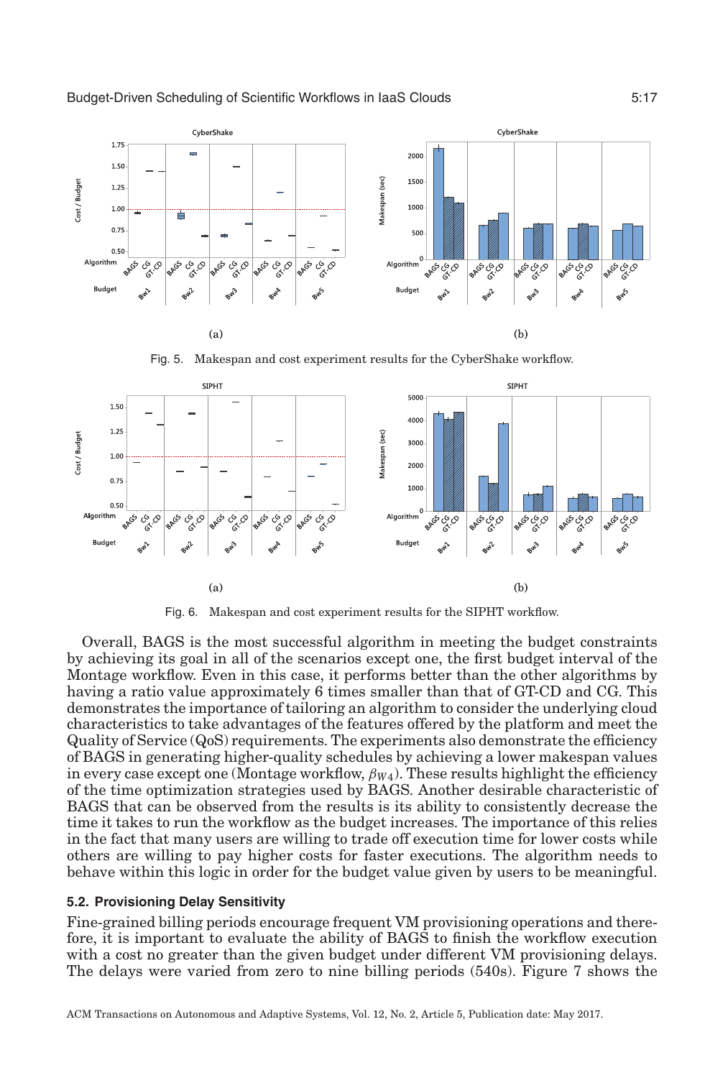<span id="page-16-0"></span>

Fig. 5. Makespan and cost experiment results for the CyberShake workflow.

<span id="page-16-1"></span>

Fig. 6. Makespan and cost experiment results for the SIPHT workflow.

Overall, BAGS is the most successful algorithm in meeting the budget constraints by achieving its goal in all of the scenarios except one, the first budget interval of the Montage workflow. Even in this case, it performs better than the other algorithms by having a ratio value approximately 6 times smaller than that of GT-CD and CG. This demonstrates the importance of tailoring an algorithm to consider the underlying cloud characteristics to take advantages of the features offered by the platform and meet the Quality of Service (QoS) requirements. The experiments also demonstrate the efficiency of BAGS in generating higher-quality schedules by achieving a lower makespan values in every case except one (Montage workflow,  $\beta_{WA}$ ). These results highlight the efficiency of the time optimization strategies used by BAGS. Another desirable characteristic of BAGS that can be observed from the results is its ability to consistently decrease the time it takes to run the workflow as the budget increases. The importance of this relies in the fact that many users are willing to trade off execution time for lower costs while others are willing to pay higher costs for faster executions. The algorithm needs to behave within this logic in order for the budget value given by users to be meaningful.

#### **5.2. Provisioning Delay Sensitivity**

Fine-grained billing periods encourage frequent VM provisioning operations and therefore, it is important to evaluate the ability of BAGS to finish the workflow execution with a cost no greater than the given budget under different VM provisioning delays. The delays were varied from zero to nine billing periods (540s). Figure [7](#page-17-1) shows the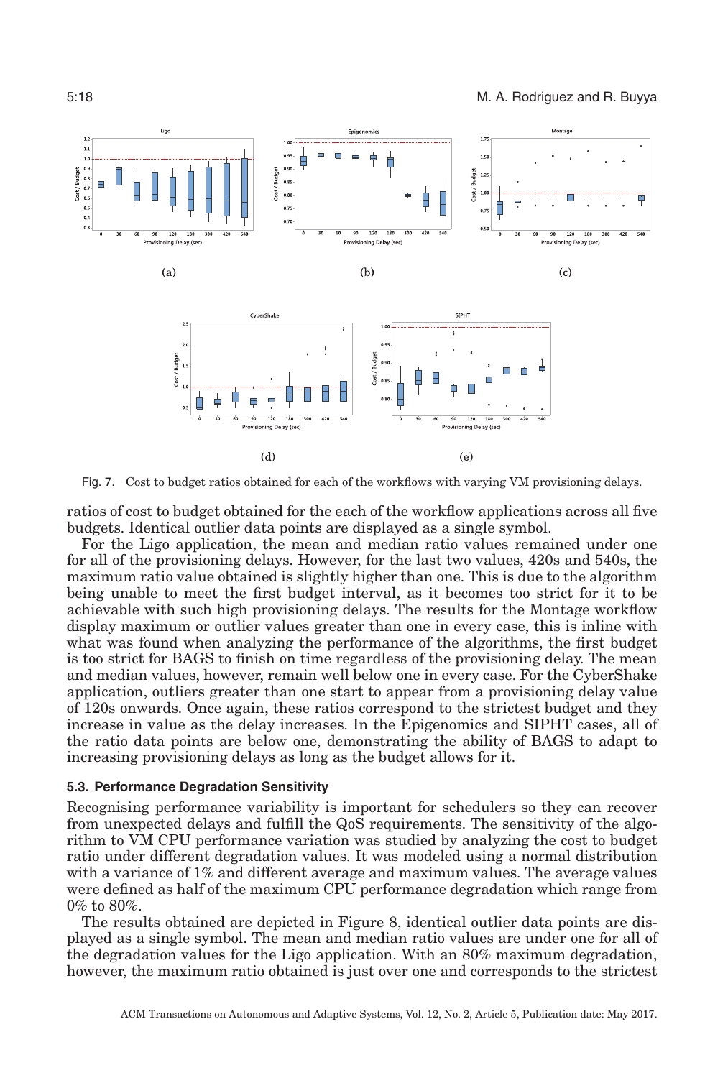<span id="page-17-1"></span>

Fig. 7. Cost to budget ratios obtained for each of the workflows with varying VM provisioning delays.

ratios of cost to budget obtained for the each of the workflow applications across all five budgets. Identical outlier data points are displayed as a single symbol.

For the Ligo application, the mean and median ratio values remained under one for all of the provisioning delays. However, for the last two values, 420s and 540s, the maximum ratio value obtained is slightly higher than one. This is due to the algorithm being unable to meet the first budget interval, as it becomes too strict for it to be achievable with such high provisioning delays. The results for the Montage workflow display maximum or outlier values greater than one in every case, this is inline with what was found when analyzing the performance of the algorithms, the first budget is too strict for BAGS to finish on time regardless of the provisioning delay. The mean and median values, however, remain well below one in every case. For the CyberShake application, outliers greater than one start to appear from a provisioning delay value of 120s onwards. Once again, these ratios correspond to the strictest budget and they increase in value as the delay increases. In the Epigenomics and SIPHT cases, all of the ratio data points are below one, demonstrating the ability of BAGS to adapt to increasing provisioning delays as long as the budget allows for it.

#### <span id="page-17-0"></span>**5.3. Performance Degradation Sensitivity**

Recognising performance variability is important for schedulers so they can recover from unexpected delays and fulfill the QoS requirements. The sensitivity of the algorithm to VM CPU performance variation was studied by analyzing the cost to budget ratio under different degradation values. It was modeled using a normal distribution with a variance of 1% and different average and maximum values. The average values were defined as half of the maximum CPU performance degradation which range from 0% to 80%.

The results obtained are depicted in Figure [8,](#page-18-0) identical outlier data points are displayed as a single symbol. The mean and median ratio values are under one for all of the degradation values for the Ligo application. With an 80% maximum degradation, however, the maximum ratio obtained is just over one and corresponds to the strictest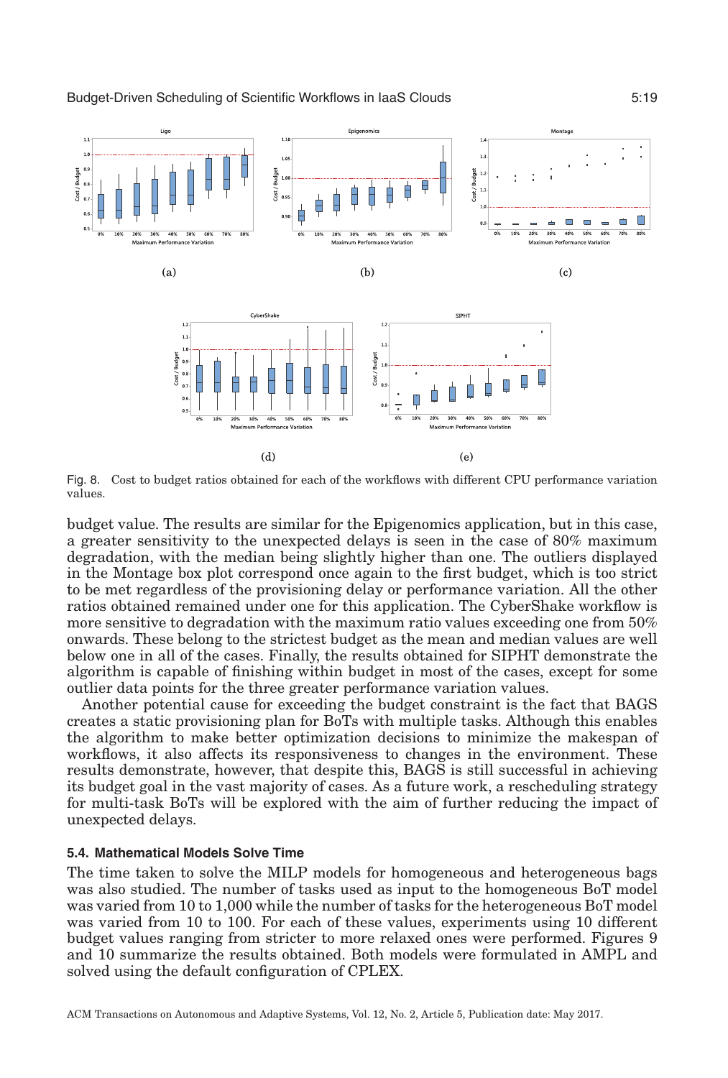### Budget-Driven Scheduling of Scientific Workflows in IaaS Clouds 5:19

<span id="page-18-0"></span>

Fig. 8. Cost to budget ratios obtained for each of the workflows with different CPU performance variation values.

budget value. The results are similar for the Epigenomics application, but in this case, a greater sensitivity to the unexpected delays is seen in the case of 80% maximum degradation, with the median being slightly higher than one. The outliers displayed in the Montage box plot correspond once again to the first budget, which is too strict to be met regardless of the provisioning delay or performance variation. All the other ratios obtained remained under one for this application. The CyberShake workflow is more sensitive to degradation with the maximum ratio values exceeding one from 50% onwards. These belong to the strictest budget as the mean and median values are well below one in all of the cases. Finally, the results obtained for SIPHT demonstrate the algorithm is capable of finishing within budget in most of the cases, except for some outlier data points for the three greater performance variation values.

Another potential cause for exceeding the budget constraint is the fact that BAGS creates a static provisioning plan for BoTs with multiple tasks. Although this enables the algorithm to make better optimization decisions to minimize the makespan of workflows, it also affects its responsiveness to changes in the environment. These results demonstrate, however, that despite this, BAGS is still successful in achieving its budget goal in the vast majority of cases. As a future work, a rescheduling strategy for multi-task BoTs will be explored with the aim of further reducing the impact of unexpected delays.

# **5.4. Mathematical Models Solve Time**

The time taken to solve the MILP models for homogeneous and heterogeneous bags was also studied. The number of tasks used as input to the homogeneous BoT model was varied from 10 to 1,000 while the number of tasks for the heterogeneous BoT model was varied from 10 to 100. For each of these values, experiments using 10 different budget values ranging from stricter to more relaxed ones were performed. Figures [9](#page-19-1) and [10](#page-19-2) summarize the results obtained. Both models were formulated in AMPL and solved using the default configuration of CPLEX.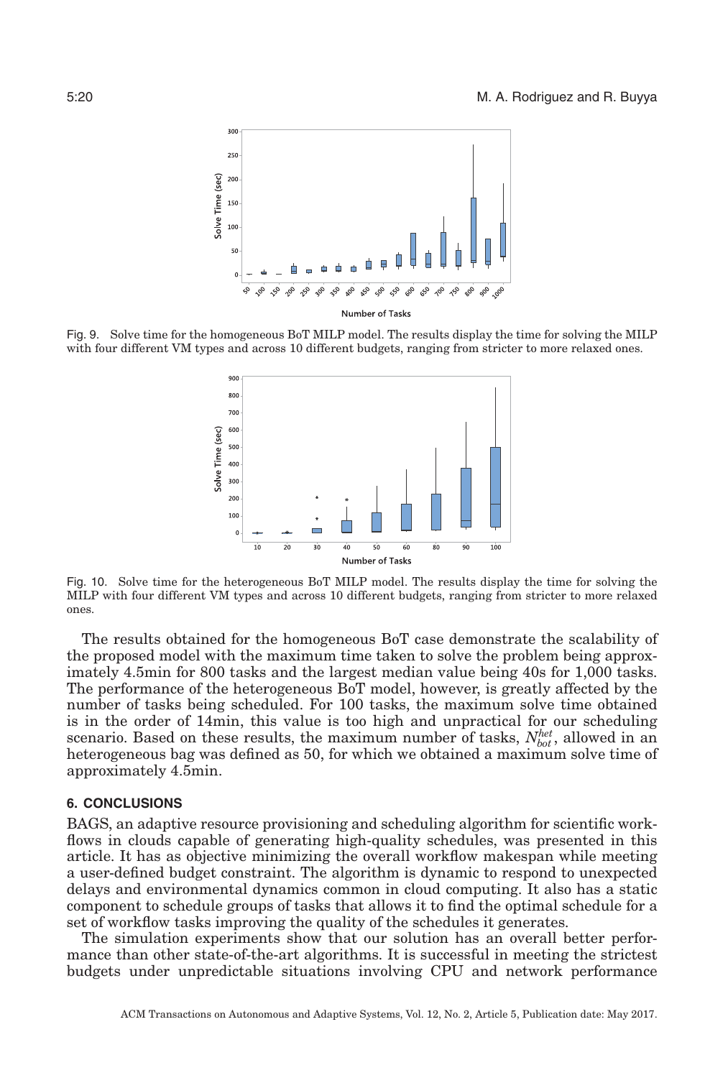<span id="page-19-1"></span>

<span id="page-19-2"></span>Fig. 9. Solve time for the homogeneous BoT MILP model. The results display the time for solving the MILP with four different VM types and across 10 different budgets, ranging from stricter to more relaxed ones.



Fig. 10. Solve time for the heterogeneous BoT MILP model. The results display the time for solving the MILP with four different VM types and across 10 different budgets, ranging from stricter to more relaxed ones.

The results obtained for the homogeneous BoT case demonstrate the scalability of the proposed model with the maximum time taken to solve the problem being approximately 4.5min for 800 tasks and the largest median value being 40s for 1,000 tasks. The performance of the heterogeneous BoT model, however, is greatly affected by the number of tasks being scheduled. For 100 tasks, the maximum solve time obtained is in the order of 14min, this value is too high and unpractical for our scheduling scenario. Based on these results, the maximum number of tasks,  $N_{bot}^{het}$ , allowed in an heterogeneous bag was defined as 50, for which we obtained a maximum solve time of approximately 4.5min.

#### **6. CONCLUSIONS**

<span id="page-19-0"></span>BAGS, an adaptive resource provisioning and scheduling algorithm for scientific workflows in clouds capable of generating high-quality schedules, was presented in this article. It has as objective minimizing the overall workflow makespan while meeting a user-defined budget constraint. The algorithm is dynamic to respond to unexpected delays and environmental dynamics common in cloud computing. It also has a static component to schedule groups of tasks that allows it to find the optimal schedule for a set of workflow tasks improving the quality of the schedules it generates.

The simulation experiments show that our solution has an overall better performance than other state-of-the-art algorithms. It is successful in meeting the strictest budgets under unpredictable situations involving CPU and network performance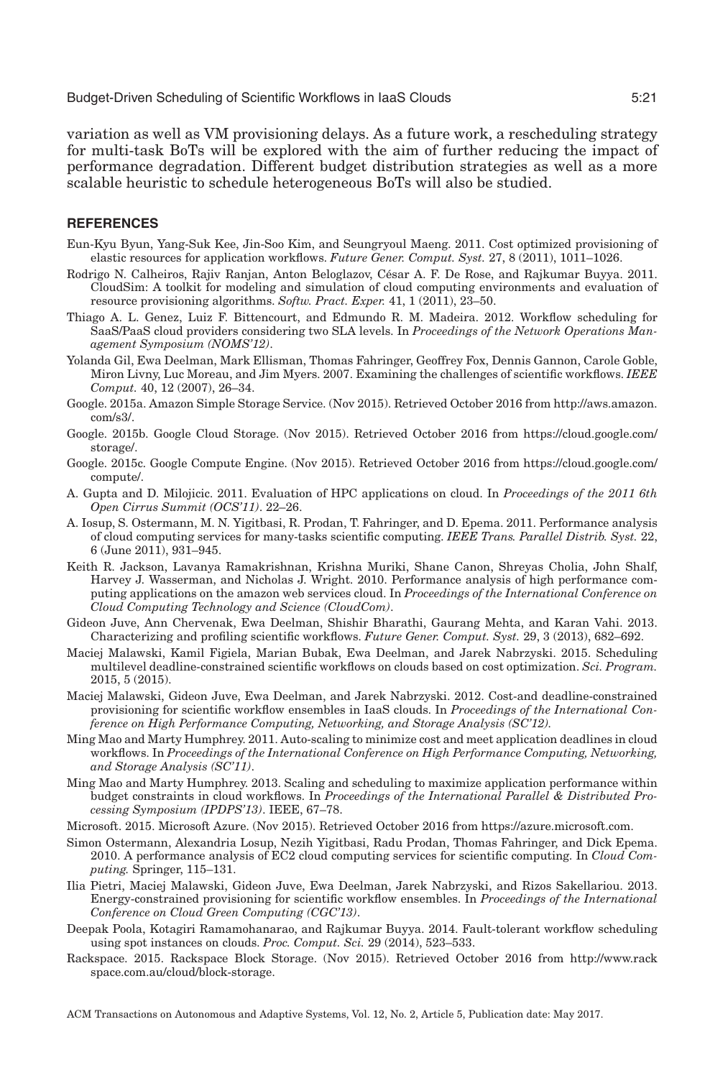variation as well as VM provisioning delays. As a future work, a rescheduling strategy for multi-task BoTs will be explored with the aim of further reducing the impact of performance degradation. Different budget distribution strategies as well as a more scalable heuristic to schedule heterogeneous BoTs will also be studied.

## **REFERENCES**

- <span id="page-20-1"></span>Eun-Kyu Byun, Yang-Suk Kee, Jin-Soo Kim, and Seungryoul Maeng. 2011. Cost optimized provisioning of elastic resources for application workflows. *Future Gener. Comput. Syst.* 27, 8 (2011), 1011–1026.
- <span id="page-20-19"></span>Rodrigo N. Calheiros, Rajiv Ranjan, Anton Beloglazov, Cesar A. F. De Rose, and Rajkumar Buyya. 2011. ´ CloudSim: A toolkit for modeling and simulation of cloud computing environments and evaluation of resource provisioning algorithms. *Softw. Pract. Exper.* 41, 1 (2011), 23–50.
- <span id="page-20-8"></span>Thiago A. L. Genez, Luiz F. Bittencourt, and Edmundo R. M. Madeira. 2012. Workflow scheduling for SaaS/PaaS cloud providers considering two SLA levels. In *Proceedings of the Network Operations Management Symposium (NOMS'12)*.
- <span id="page-20-0"></span>Yolanda Gil, Ewa Deelman, Mark Ellisman, Thomas Fahringer, Geoffrey Fox, Dennis Gannon, Carole Goble, Miron Livny, Luc Moreau, and Jim Myers. 2007. Examining the challenges of scientific workflows. *IEEE Comput.* 40, 12 (2007), 26–34.
- <span id="page-20-9"></span>Google. 2015a. Amazon Simple Storage Service. (Nov 2015). Retrieved October 2016 from [http://aws.amazon.](http://aws.amazon.com/s3/) [com/s3/.](http://aws.amazon.com/s3/)
- <span id="page-20-16"></span>Google. 2015b. Google Cloud Storage. (Nov 2015). Retrieved October 2016 from [https://cloud.google.com/](https://cloud.google.com/storage/) [storage/.](https://cloud.google.com/storage/)
- <span id="page-20-10"></span>Google. 2015c. Google Compute Engine. (Nov 2015). Retrieved October 2016 from [https://cloud.google.com/](https://cloud.google.com/compute/) [compute/.](https://cloud.google.com/compute/)
- <span id="page-20-13"></span>A. Gupta and D. Milojicic. 2011. Evaluation of HPC applications on cloud. In *Proceedings of the 2011 6th Open Cirrus Summit (OCS'11)*. 22–26.
- <span id="page-20-14"></span>A. Iosup, S. Ostermann, M. N. Yigitbasi, R. Prodan, T. Fahringer, and D. Epema. 2011. Performance analysis of cloud computing services for many-tasks scientific computing. *IEEE Trans. Parallel Distrib. Syst.* 22, 6 (June 2011), 931–945.
- <span id="page-20-15"></span>Keith R. Jackson, Lavanya Ramakrishnan, Krishna Muriki, Shane Canon, Shreyas Cholia, John Shalf, Harvey J. Wasserman, and Nicholas J. Wright. 2010. Performance analysis of high performance computing applications on the amazon web services cloud. In *Proceedings of the International Conference on Cloud Computing Technology and Science (CloudCom)*.
- <span id="page-20-18"></span>Gideon Juve, Ann Chervenak, Ewa Deelman, Shishir Bharathi, Gaurang Mehta, and Karan Vahi. 2013. Characterizing and profiling scientific workflows. *Future Gener. Comput. Syst.* 29, 3 (2013), 682–692.
- <span id="page-20-7"></span>Maciej Malawski, Kamil Figiela, Marian Bubak, Ewa Deelman, and Jarek Nabrzyski. 2015. Scheduling multilevel deadline-constrained scientific workflows on clouds based on cost optimization. *Sci. Program.* 2015, 5 (2015).
- <span id="page-20-4"></span>Maciej Malawski, Gideon Juve, Ewa Deelman, and Jarek Nabrzyski. 2012. Cost-and deadline-constrained provisioning for scientific workflow ensembles in IaaS clouds. In *Proceedings of the International Conference on High Performance Computing, Networking, and Storage Analysis (SC'12).*
- <span id="page-20-2"></span>Ming Mao and Marty Humphrey. 2011. Auto-scaling to minimize cost and meet application deadlines in cloud workflows. In *Proceedings of the International Conference on High Performance Computing, Networking, and Storage Analysis (SC'11)*.
- <span id="page-20-6"></span>Ming Mao and Marty Humphrey. 2013. Scaling and scheduling to maximize application performance within budget constraints in cloud workflows. In *Proceedings of the International Parallel & Distributed Processing Symposium (IPDPS'13)*. IEEE, 67–78.
- <span id="page-20-11"></span>Microsoft. 2015. Microsoft Azure. (Nov 2015). Retrieved October 2016 from [https://azure.microsoft.com.](https://azure.microsoft.com)
- <span id="page-20-12"></span>Simon Ostermann, Alexandria Losup, Nezih Yigitbasi, Radu Prodan, Thomas Fahringer, and Dick Epema. 2010. A performance analysis of EC2 cloud computing services for scientific computing. In *Cloud Computing.* Springer, 115–131.
- <span id="page-20-5"></span>Ilia Pietri, Maciej Malawski, Gideon Juve, Ewa Deelman, Jarek Nabrzyski, and Rizos Sakellariou. 2013. Energy-constrained provisioning for scientific workflow ensembles. In *Proceedings of the International Conference on Cloud Green Computing (CGC'13)*.
- <span id="page-20-3"></span>Deepak Poola, Kotagiri Ramamohanarao, and Rajkumar Buyya. 2014. Fault-tolerant workflow scheduling using spot instances on clouds. *Proc. Comput. Sci.* 29 (2014), 523–533.
- <span id="page-20-17"></span>Rackspace. 2015. Rackspace Block Storage. (Nov 2015). Retrieved October 2016 from [http://www.rack](http://www.rackspace.com.au/cloud/block-storage) [space.com.au/cloud/block-storage.](http://www.rackspace.com.au/cloud/block-storage)